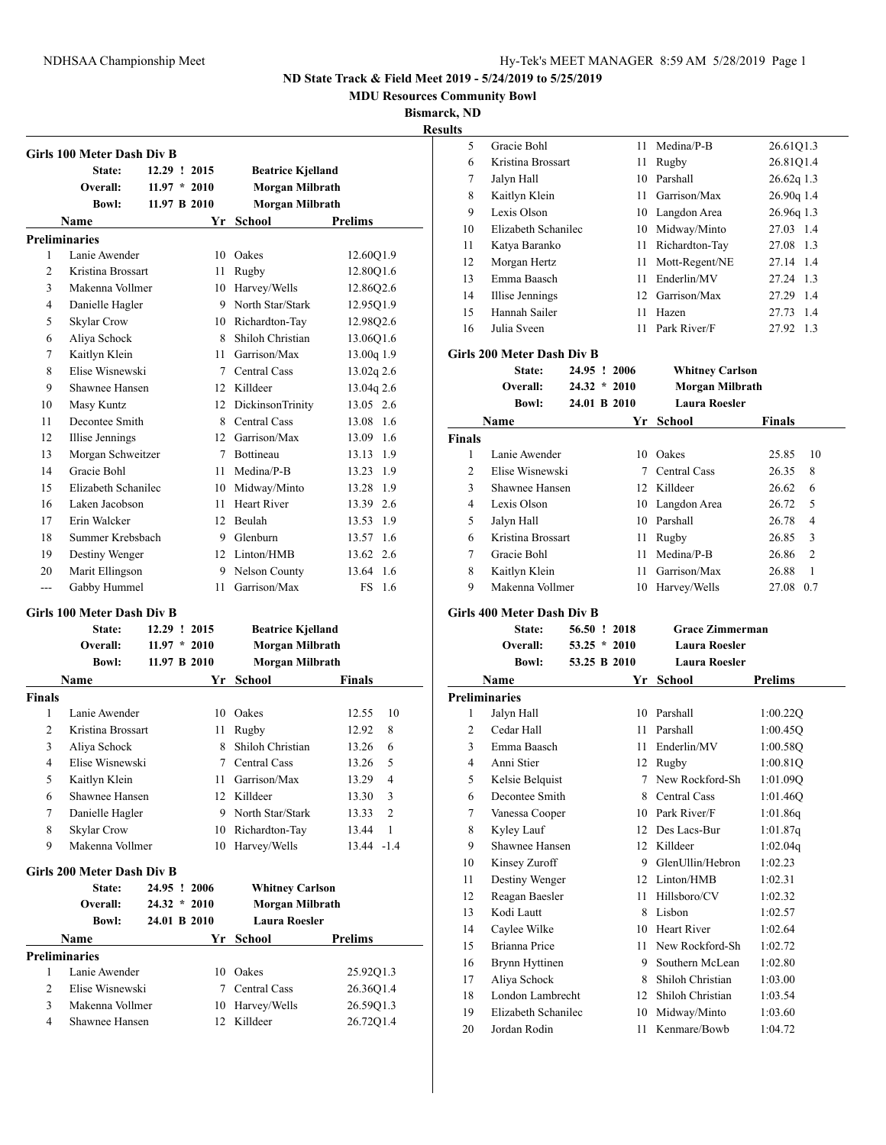**MDU Resources Community Bowl**

**Bismarck, ND**

|                | Girls 100 Meter Dash Div B        |                |     |                          |                  |
|----------------|-----------------------------------|----------------|-----|--------------------------|------------------|
|                | State:                            | 12.29 ! 2015   |     | <b>Beatrice Kjelland</b> |                  |
|                | Overall:                          | $11.97 * 2010$ |     | Morgan Milbrath          |                  |
|                | <b>Bowl:</b>                      | 11.97 B 2010   |     | Morgan Milbrath          |                  |
|                | Name                              |                | Yr  | School                   | Prelims          |
|                | <b>Preliminaries</b>              |                |     |                          |                  |
| 1              | Lanie Awender                     |                |     | 10 Oakes                 | 12.60Q1.9        |
| $\overline{c}$ | Kristina Brossart                 |                |     | 11 Rugby                 | 12.80Q1.6        |
| 3              | Makenna Vollmer                   |                |     | 10 Harvey/Wells          | 12.86Q2.6        |
| 4              | Danielle Hagler                   |                |     | 9 North Star/Stark       | 12.95Q1.9        |
| 5              | Skylar Crow                       |                |     | 10 Richardton-Tay        | 12.98Q2.6        |
| 6              | Aliya Schock                      |                |     | 8 Shiloh Christian       | 13.06Q1.6        |
| 7              | Kaitlyn Klein                     |                |     | 11 Garrison/Max          | 13.00q 1.9       |
| 8              | Elise Wisnewski                   |                |     | 7 Central Cass           | 13.02q 2.6       |
| 9              | Shawnee Hansen                    |                |     | 12 Killdeer              | 13.04q 2.6       |
| 10             | Masy Kuntz                        |                |     | 12 DickinsonTrinity      | 13.05 2.6        |
| 11             | Decontee Smith                    |                |     | 8 Central Cass           | 13.08 1.6        |
| 12             | Illise Jennings                   |                |     | 12 Garrison/Max          | 13.09 1.6        |
| 13             | Morgan Schweitzer                 |                |     | 7 Bottineau              | 13.13 1.9        |
| 14             | Gracie Bohl                       |                |     | 11 Medina/P-B            | 13.23 1.9        |
| 15             | Elizabeth Schanilec               |                |     | 10 Midway/Minto          | 13.28 1.9        |
| 16             | Laken Jacobson                    |                |     | 11 Heart River           | 13.39 2.6        |
| 17             | Erin Walcker                      |                |     | 12 Beulah                | 13.53 1.9        |
| 18             | Summer Krebsbach                  |                |     | 9 Glenburn               | 13.57 1.6        |
| 19             | Destiny Wenger                    |                |     | 12 Linton/HMB            | 13.62 2.6        |
| 20             | Marit Ellingson                   |                |     | 9 Nelson County          | 13.64 1.6        |
| $- - -$        | Gabby Hummel                      |                | 11. | Garrison/Max             | <b>FS</b><br>1.6 |
|                | <b>Girls 100 Meter Dash Div B</b> |                |     |                          |                  |
|                | State:                            | 12.29 ! 2015   |     | <b>Beatrice Kjelland</b> |                  |
|                | Overall:                          | $11.97 * 2010$ |     | Morgan Milbrath          |                  |
|                | <b>Bowl:</b>                      | 11.97 B 2010   |     | Morgan Milbrath          |                  |
|                | Name                              |                | Yr  | School                   | Finals           |
| <b>Finals</b>  |                                   |                |     |                          |                  |
| 1              | Lanie Awender                     |                |     | 10 Oakes                 | 12.55<br>10      |
| $\overline{c}$ | Kristina Brossart                 |                | 11  | Rugby                    | 8<br>12.92       |
| 3              | Aliya Schock                      |                | 8   | Shiloh Christian         | 13.26<br>6       |
| 4              | Elise Wisnewski                   |                | 7   | <b>Central Cass</b>      | 13.26<br>5       |
| 5              | Kaitlyn Klein                     |                | 11  | Garrison/Max             | 13.29<br>4       |
| 6              | Shawnee Hansen                    |                | 12  | Killdeer                 | 13.30<br>3       |
| 7              | Danielle Hagler                   |                |     | 9 North Star/Stark       | 2<br>13.33       |
| 8              | Skylar Crow                       |                |     | 10 Richardton-Tay        | 13.44<br>1       |
| 9              | Makenna Vollmer                   |                | 10  | Harvey/Wells             | 13.44 -1.4       |
|                |                                   |                |     |                          |                  |
|                | Girls 200 Meter Dash Div B        |                |     |                          |                  |
|                | State:                            | 24.95 ! 2006   |     | <b>Whitney Carlson</b>   |                  |
|                | Overall:                          | $24.32 * 2010$ |     | Morgan Milbrath          |                  |
|                | <b>Bowl:</b>                      | 24.01 B 2010   |     | <b>Laura Roesler</b>     |                  |
|                | Name                              |                |     | Yr School                | <b>Prelims</b>   |
|                | <b>Preliminaries</b>              |                |     |                          |                  |
|                |                                   |                | 10  | Oakes                    | 25.92Q1.3        |
| 1              | Lanie Awender                     |                |     |                          |                  |
| 2              | Elise Wisnewski                   |                | 7   | Central Cass             | 26.36Q1.4        |
| 3              | Makenna Vollmer                   |                |     | 10 Harvey/Wells          | 26.59Q1.3        |
| 4              | Shawnee Hansen                    |                | 12  | Killdeer                 | 26.72Q1.4        |

| Medina/P-B<br>Gracie Bohl<br>5<br>11<br>6<br>Kristina Brossart<br>11 Rugby<br>10 Parshall<br>Jalyn Hall<br>7<br>Kaitlyn Klein<br>11 Garrison/Max<br>8<br>Lexis Olson<br>9<br>10 Langdon Area<br>10 Midway/Minto<br>10<br>Elizabeth Schanilec<br>11 Richardton-Tay<br>11<br>Katya Baranko<br>Morgan Hertz<br>11 Mott-Regent/NE<br>12<br>Emma Baasch<br>11 Enderlin/MV<br>13<br>12 Garrison/Max<br>14<br><b>Illise Jennings</b><br>Hannah Sailer<br>11 Hazen<br>15<br>11 Park River/F<br>16<br>Julia Sveen<br>Girls 200 Meter Dash Div B<br>24.95 ! 2006<br>State:<br><b>Whitney Carlson</b><br>Overall:<br>$24.32 * 2010$<br><b>Morgan Milbrath</b><br><b>Laura Roesler</b><br>24.01 B 2010<br><b>Bowl:</b><br><b>Name</b><br>Yr<br>School<br><b>Finals</b><br>Lanie Awender<br>10 Oakes<br>1<br>2<br>Elise Wisnewski<br>7 Central Cass<br>Shawnee Hansen<br>3<br>12 Killdeer<br>Lexis Olson<br>4<br>10 Langdon Area<br>10 Parshall<br>5<br>Jalyn Hall<br>Kristina Brossart<br>11 Rugby<br>6<br>Gracie Bohl<br>11 Medina/P-B<br>7<br>Kaitlyn Klein<br>11 Garrison/Max<br>8<br>Makenna Vollmer<br>9<br>10 Harvey/Wells<br>Girls 400 Meter Dash Div B<br>56.50 ! 2018<br><b>Grace Zimmerman</b><br>State:<br>Overall:<br>$53.25 * 2010$<br><b>Laura Roesler</b><br><b>Laura Roesler</b><br><b>Bowl:</b><br>53.25 B 2010<br><b>Prelims</b><br><b>Name</b><br>Yr School<br><b>Preliminaries</b><br>10 Parshall<br>Jalyn Hall<br>1<br>2<br>Cedar Hall<br>11 Parshall<br>Emma Baasch<br>3<br>11 Enderlin/MV<br>4<br>Anni Stier<br>12 Rugby<br>Kelsie Belquist<br>New Rockford-Sh<br>5<br>7<br>Decontee Smith<br>6<br>8<br>Central Cass<br>7<br>10<br>Park River/F<br>Vanessa Cooper<br>Kyley Lauf<br>Des Lacs-Bur<br>8<br>12<br>9<br>Shawnee Hansen<br>12<br>Killdeer<br>Kinsey Zuroff<br>$10\,$<br>GlenUllin/Hebron<br>9.<br>Destiny Wenger<br>11<br>12 Linton/HMB<br>Reagan Baesler<br>Hillsboro/CV<br>12<br>11<br>Kodi Lautt<br>Lisbon<br>13<br>8<br>Caylee Wilke<br>10<br>Heart River<br>14<br>Brianna Price<br>New Rockford-Sh<br>15<br>11<br>Brynn Hyttinen<br>Southern McLean<br>16<br>9.<br>Aliya Schock<br>Shiloh Christian<br>17<br>8<br>London Lambrecht<br>18<br>12 Shiloh Christian<br>19<br>Elizabeth Schanilec<br>Midway/Minto<br>10<br>Kenmare/Bowb<br>20<br>Jordan Rodin<br>11 |                         |
|------------------------------------------------------------------------------------------------------------------------------------------------------------------------------------------------------------------------------------------------------------------------------------------------------------------------------------------------------------------------------------------------------------------------------------------------------------------------------------------------------------------------------------------------------------------------------------------------------------------------------------------------------------------------------------------------------------------------------------------------------------------------------------------------------------------------------------------------------------------------------------------------------------------------------------------------------------------------------------------------------------------------------------------------------------------------------------------------------------------------------------------------------------------------------------------------------------------------------------------------------------------------------------------------------------------------------------------------------------------------------------------------------------------------------------------------------------------------------------------------------------------------------------------------------------------------------------------------------------------------------------------------------------------------------------------------------------------------------------------------------------------------------------------------------------------------------------------------------------------------------------------------------------------------------------------------------------------------------------------------------------------------------------------------------------------------------------------------------------------------------------------------------------------------------------------------------------------------------------------------------------------------------------------|-------------------------|
|                                                                                                                                                                                                                                                                                                                                                                                                                                                                                                                                                                                                                                                                                                                                                                                                                                                                                                                                                                                                                                                                                                                                                                                                                                                                                                                                                                                                                                                                                                                                                                                                                                                                                                                                                                                                                                                                                                                                                                                                                                                                                                                                                                                                                                                                                          | 26.61Q1.3               |
|                                                                                                                                                                                                                                                                                                                                                                                                                                                                                                                                                                                                                                                                                                                                                                                                                                                                                                                                                                                                                                                                                                                                                                                                                                                                                                                                                                                                                                                                                                                                                                                                                                                                                                                                                                                                                                                                                                                                                                                                                                                                                                                                                                                                                                                                                          | 26.81Q1.4               |
|                                                                                                                                                                                                                                                                                                                                                                                                                                                                                                                                                                                                                                                                                                                                                                                                                                                                                                                                                                                                                                                                                                                                                                                                                                                                                                                                                                                                                                                                                                                                                                                                                                                                                                                                                                                                                                                                                                                                                                                                                                                                                                                                                                                                                                                                                          | 26.62q 1.3              |
|                                                                                                                                                                                                                                                                                                                                                                                                                                                                                                                                                                                                                                                                                                                                                                                                                                                                                                                                                                                                                                                                                                                                                                                                                                                                                                                                                                                                                                                                                                                                                                                                                                                                                                                                                                                                                                                                                                                                                                                                                                                                                                                                                                                                                                                                                          | 26.90q 1.4              |
|                                                                                                                                                                                                                                                                                                                                                                                                                                                                                                                                                                                                                                                                                                                                                                                                                                                                                                                                                                                                                                                                                                                                                                                                                                                                                                                                                                                                                                                                                                                                                                                                                                                                                                                                                                                                                                                                                                                                                                                                                                                                                                                                                                                                                                                                                          | 26.96q 1.3              |
|                                                                                                                                                                                                                                                                                                                                                                                                                                                                                                                                                                                                                                                                                                                                                                                                                                                                                                                                                                                                                                                                                                                                                                                                                                                                                                                                                                                                                                                                                                                                                                                                                                                                                                                                                                                                                                                                                                                                                                                                                                                                                                                                                                                                                                                                                          | 27.03 1.4               |
|                                                                                                                                                                                                                                                                                                                                                                                                                                                                                                                                                                                                                                                                                                                                                                                                                                                                                                                                                                                                                                                                                                                                                                                                                                                                                                                                                                                                                                                                                                                                                                                                                                                                                                                                                                                                                                                                                                                                                                                                                                                                                                                                                                                                                                                                                          | 27.08 1.3               |
|                                                                                                                                                                                                                                                                                                                                                                                                                                                                                                                                                                                                                                                                                                                                                                                                                                                                                                                                                                                                                                                                                                                                                                                                                                                                                                                                                                                                                                                                                                                                                                                                                                                                                                                                                                                                                                                                                                                                                                                                                                                                                                                                                                                                                                                                                          | 27.14 1.4               |
|                                                                                                                                                                                                                                                                                                                                                                                                                                                                                                                                                                                                                                                                                                                                                                                                                                                                                                                                                                                                                                                                                                                                                                                                                                                                                                                                                                                                                                                                                                                                                                                                                                                                                                                                                                                                                                                                                                                                                                                                                                                                                                                                                                                                                                                                                          | 27.24 1.3               |
|                                                                                                                                                                                                                                                                                                                                                                                                                                                                                                                                                                                                                                                                                                                                                                                                                                                                                                                                                                                                                                                                                                                                                                                                                                                                                                                                                                                                                                                                                                                                                                                                                                                                                                                                                                                                                                                                                                                                                                                                                                                                                                                                                                                                                                                                                          | 27.29 1.4               |
|                                                                                                                                                                                                                                                                                                                                                                                                                                                                                                                                                                                                                                                                                                                                                                                                                                                                                                                                                                                                                                                                                                                                                                                                                                                                                                                                                                                                                                                                                                                                                                                                                                                                                                                                                                                                                                                                                                                                                                                                                                                                                                                                                                                                                                                                                          | 27.73 1.4               |
|                                                                                                                                                                                                                                                                                                                                                                                                                                                                                                                                                                                                                                                                                                                                                                                                                                                                                                                                                                                                                                                                                                                                                                                                                                                                                                                                                                                                                                                                                                                                                                                                                                                                                                                                                                                                                                                                                                                                                                                                                                                                                                                                                                                                                                                                                          | 27.92 1.3               |
|                                                                                                                                                                                                                                                                                                                                                                                                                                                                                                                                                                                                                                                                                                                                                                                                                                                                                                                                                                                                                                                                                                                                                                                                                                                                                                                                                                                                                                                                                                                                                                                                                                                                                                                                                                                                                                                                                                                                                                                                                                                                                                                                                                                                                                                                                          |                         |
|                                                                                                                                                                                                                                                                                                                                                                                                                                                                                                                                                                                                                                                                                                                                                                                                                                                                                                                                                                                                                                                                                                                                                                                                                                                                                                                                                                                                                                                                                                                                                                                                                                                                                                                                                                                                                                                                                                                                                                                                                                                                                                                                                                                                                                                                                          |                         |
|                                                                                                                                                                                                                                                                                                                                                                                                                                                                                                                                                                                                                                                                                                                                                                                                                                                                                                                                                                                                                                                                                                                                                                                                                                                                                                                                                                                                                                                                                                                                                                                                                                                                                                                                                                                                                                                                                                                                                                                                                                                                                                                                                                                                                                                                                          |                         |
|                                                                                                                                                                                                                                                                                                                                                                                                                                                                                                                                                                                                                                                                                                                                                                                                                                                                                                                                                                                                                                                                                                                                                                                                                                                                                                                                                                                                                                                                                                                                                                                                                                                                                                                                                                                                                                                                                                                                                                                                                                                                                                                                                                                                                                                                                          |                         |
|                                                                                                                                                                                                                                                                                                                                                                                                                                                                                                                                                                                                                                                                                                                                                                                                                                                                                                                                                                                                                                                                                                                                                                                                                                                                                                                                                                                                                                                                                                                                                                                                                                                                                                                                                                                                                                                                                                                                                                                                                                                                                                                                                                                                                                                                                          | <b>Finals</b>           |
|                                                                                                                                                                                                                                                                                                                                                                                                                                                                                                                                                                                                                                                                                                                                                                                                                                                                                                                                                                                                                                                                                                                                                                                                                                                                                                                                                                                                                                                                                                                                                                                                                                                                                                                                                                                                                                                                                                                                                                                                                                                                                                                                                                                                                                                                                          |                         |
|                                                                                                                                                                                                                                                                                                                                                                                                                                                                                                                                                                                                                                                                                                                                                                                                                                                                                                                                                                                                                                                                                                                                                                                                                                                                                                                                                                                                                                                                                                                                                                                                                                                                                                                                                                                                                                                                                                                                                                                                                                                                                                                                                                                                                                                                                          | 10<br>25.85             |
|                                                                                                                                                                                                                                                                                                                                                                                                                                                                                                                                                                                                                                                                                                                                                                                                                                                                                                                                                                                                                                                                                                                                                                                                                                                                                                                                                                                                                                                                                                                                                                                                                                                                                                                                                                                                                                                                                                                                                                                                                                                                                                                                                                                                                                                                                          | 26.35<br>8              |
|                                                                                                                                                                                                                                                                                                                                                                                                                                                                                                                                                                                                                                                                                                                                                                                                                                                                                                                                                                                                                                                                                                                                                                                                                                                                                                                                                                                                                                                                                                                                                                                                                                                                                                                                                                                                                                                                                                                                                                                                                                                                                                                                                                                                                                                                                          | 26.62<br>6              |
|                                                                                                                                                                                                                                                                                                                                                                                                                                                                                                                                                                                                                                                                                                                                                                                                                                                                                                                                                                                                                                                                                                                                                                                                                                                                                                                                                                                                                                                                                                                                                                                                                                                                                                                                                                                                                                                                                                                                                                                                                                                                                                                                                                                                                                                                                          | 26.72<br>5              |
|                                                                                                                                                                                                                                                                                                                                                                                                                                                                                                                                                                                                                                                                                                                                                                                                                                                                                                                                                                                                                                                                                                                                                                                                                                                                                                                                                                                                                                                                                                                                                                                                                                                                                                                                                                                                                                                                                                                                                                                                                                                                                                                                                                                                                                                                                          | 26.78<br>4              |
|                                                                                                                                                                                                                                                                                                                                                                                                                                                                                                                                                                                                                                                                                                                                                                                                                                                                                                                                                                                                                                                                                                                                                                                                                                                                                                                                                                                                                                                                                                                                                                                                                                                                                                                                                                                                                                                                                                                                                                                                                                                                                                                                                                                                                                                                                          | 26.85<br>3              |
|                                                                                                                                                                                                                                                                                                                                                                                                                                                                                                                                                                                                                                                                                                                                                                                                                                                                                                                                                                                                                                                                                                                                                                                                                                                                                                                                                                                                                                                                                                                                                                                                                                                                                                                                                                                                                                                                                                                                                                                                                                                                                                                                                                                                                                                                                          | 26.86<br>$\overline{c}$ |
|                                                                                                                                                                                                                                                                                                                                                                                                                                                                                                                                                                                                                                                                                                                                                                                                                                                                                                                                                                                                                                                                                                                                                                                                                                                                                                                                                                                                                                                                                                                                                                                                                                                                                                                                                                                                                                                                                                                                                                                                                                                                                                                                                                                                                                                                                          | 26.88<br>1              |
|                                                                                                                                                                                                                                                                                                                                                                                                                                                                                                                                                                                                                                                                                                                                                                                                                                                                                                                                                                                                                                                                                                                                                                                                                                                                                                                                                                                                                                                                                                                                                                                                                                                                                                                                                                                                                                                                                                                                                                                                                                                                                                                                                                                                                                                                                          | 27.08 0.7               |
|                                                                                                                                                                                                                                                                                                                                                                                                                                                                                                                                                                                                                                                                                                                                                                                                                                                                                                                                                                                                                                                                                                                                                                                                                                                                                                                                                                                                                                                                                                                                                                                                                                                                                                                                                                                                                                                                                                                                                                                                                                                                                                                                                                                                                                                                                          |                         |
|                                                                                                                                                                                                                                                                                                                                                                                                                                                                                                                                                                                                                                                                                                                                                                                                                                                                                                                                                                                                                                                                                                                                                                                                                                                                                                                                                                                                                                                                                                                                                                                                                                                                                                                                                                                                                                                                                                                                                                                                                                                                                                                                                                                                                                                                                          |                         |
|                                                                                                                                                                                                                                                                                                                                                                                                                                                                                                                                                                                                                                                                                                                                                                                                                                                                                                                                                                                                                                                                                                                                                                                                                                                                                                                                                                                                                                                                                                                                                                                                                                                                                                                                                                                                                                                                                                                                                                                                                                                                                                                                                                                                                                                                                          |                         |
|                                                                                                                                                                                                                                                                                                                                                                                                                                                                                                                                                                                                                                                                                                                                                                                                                                                                                                                                                                                                                                                                                                                                                                                                                                                                                                                                                                                                                                                                                                                                                                                                                                                                                                                                                                                                                                                                                                                                                                                                                                                                                                                                                                                                                                                                                          |                         |
|                                                                                                                                                                                                                                                                                                                                                                                                                                                                                                                                                                                                                                                                                                                                                                                                                                                                                                                                                                                                                                                                                                                                                                                                                                                                                                                                                                                                                                                                                                                                                                                                                                                                                                                                                                                                                                                                                                                                                                                                                                                                                                                                                                                                                                                                                          |                         |
|                                                                                                                                                                                                                                                                                                                                                                                                                                                                                                                                                                                                                                                                                                                                                                                                                                                                                                                                                                                                                                                                                                                                                                                                                                                                                                                                                                                                                                                                                                                                                                                                                                                                                                                                                                                                                                                                                                                                                                                                                                                                                                                                                                                                                                                                                          |                         |
|                                                                                                                                                                                                                                                                                                                                                                                                                                                                                                                                                                                                                                                                                                                                                                                                                                                                                                                                                                                                                                                                                                                                                                                                                                                                                                                                                                                                                                                                                                                                                                                                                                                                                                                                                                                                                                                                                                                                                                                                                                                                                                                                                                                                                                                                                          | 1:00.22Q                |
|                                                                                                                                                                                                                                                                                                                                                                                                                                                                                                                                                                                                                                                                                                                                                                                                                                                                                                                                                                                                                                                                                                                                                                                                                                                                                                                                                                                                                                                                                                                                                                                                                                                                                                                                                                                                                                                                                                                                                                                                                                                                                                                                                                                                                                                                                          | 1:00.45Q                |
|                                                                                                                                                                                                                                                                                                                                                                                                                                                                                                                                                                                                                                                                                                                                                                                                                                                                                                                                                                                                                                                                                                                                                                                                                                                                                                                                                                                                                                                                                                                                                                                                                                                                                                                                                                                                                                                                                                                                                                                                                                                                                                                                                                                                                                                                                          | 1:00.58Q                |
|                                                                                                                                                                                                                                                                                                                                                                                                                                                                                                                                                                                                                                                                                                                                                                                                                                                                                                                                                                                                                                                                                                                                                                                                                                                                                                                                                                                                                                                                                                                                                                                                                                                                                                                                                                                                                                                                                                                                                                                                                                                                                                                                                                                                                                                                                          | 1:00.81Q                |
|                                                                                                                                                                                                                                                                                                                                                                                                                                                                                                                                                                                                                                                                                                                                                                                                                                                                                                                                                                                                                                                                                                                                                                                                                                                                                                                                                                                                                                                                                                                                                                                                                                                                                                                                                                                                                                                                                                                                                                                                                                                                                                                                                                                                                                                                                          | 1:01.09Q                |
|                                                                                                                                                                                                                                                                                                                                                                                                                                                                                                                                                                                                                                                                                                                                                                                                                                                                                                                                                                                                                                                                                                                                                                                                                                                                                                                                                                                                                                                                                                                                                                                                                                                                                                                                                                                                                                                                                                                                                                                                                                                                                                                                                                                                                                                                                          | 1:01.46Q                |
|                                                                                                                                                                                                                                                                                                                                                                                                                                                                                                                                                                                                                                                                                                                                                                                                                                                                                                                                                                                                                                                                                                                                                                                                                                                                                                                                                                                                                                                                                                                                                                                                                                                                                                                                                                                                                                                                                                                                                                                                                                                                                                                                                                                                                                                                                          | 1:01.86q                |
|                                                                                                                                                                                                                                                                                                                                                                                                                                                                                                                                                                                                                                                                                                                                                                                                                                                                                                                                                                                                                                                                                                                                                                                                                                                                                                                                                                                                                                                                                                                                                                                                                                                                                                                                                                                                                                                                                                                                                                                                                                                                                                                                                                                                                                                                                          | 1:01.87q                |
|                                                                                                                                                                                                                                                                                                                                                                                                                                                                                                                                                                                                                                                                                                                                                                                                                                                                                                                                                                                                                                                                                                                                                                                                                                                                                                                                                                                                                                                                                                                                                                                                                                                                                                                                                                                                                                                                                                                                                                                                                                                                                                                                                                                                                                                                                          | 1:02.04q                |
|                                                                                                                                                                                                                                                                                                                                                                                                                                                                                                                                                                                                                                                                                                                                                                                                                                                                                                                                                                                                                                                                                                                                                                                                                                                                                                                                                                                                                                                                                                                                                                                                                                                                                                                                                                                                                                                                                                                                                                                                                                                                                                                                                                                                                                                                                          | 1:02.23                 |
|                                                                                                                                                                                                                                                                                                                                                                                                                                                                                                                                                                                                                                                                                                                                                                                                                                                                                                                                                                                                                                                                                                                                                                                                                                                                                                                                                                                                                                                                                                                                                                                                                                                                                                                                                                                                                                                                                                                                                                                                                                                                                                                                                                                                                                                                                          | 1:02.31                 |
|                                                                                                                                                                                                                                                                                                                                                                                                                                                                                                                                                                                                                                                                                                                                                                                                                                                                                                                                                                                                                                                                                                                                                                                                                                                                                                                                                                                                                                                                                                                                                                                                                                                                                                                                                                                                                                                                                                                                                                                                                                                                                                                                                                                                                                                                                          | 1:02.32                 |
|                                                                                                                                                                                                                                                                                                                                                                                                                                                                                                                                                                                                                                                                                                                                                                                                                                                                                                                                                                                                                                                                                                                                                                                                                                                                                                                                                                                                                                                                                                                                                                                                                                                                                                                                                                                                                                                                                                                                                                                                                                                                                                                                                                                                                                                                                          | 1:02.57                 |
|                                                                                                                                                                                                                                                                                                                                                                                                                                                                                                                                                                                                                                                                                                                                                                                                                                                                                                                                                                                                                                                                                                                                                                                                                                                                                                                                                                                                                                                                                                                                                                                                                                                                                                                                                                                                                                                                                                                                                                                                                                                                                                                                                                                                                                                                                          | 1:02.64                 |
|                                                                                                                                                                                                                                                                                                                                                                                                                                                                                                                                                                                                                                                                                                                                                                                                                                                                                                                                                                                                                                                                                                                                                                                                                                                                                                                                                                                                                                                                                                                                                                                                                                                                                                                                                                                                                                                                                                                                                                                                                                                                                                                                                                                                                                                                                          | 1:02.72                 |
|                                                                                                                                                                                                                                                                                                                                                                                                                                                                                                                                                                                                                                                                                                                                                                                                                                                                                                                                                                                                                                                                                                                                                                                                                                                                                                                                                                                                                                                                                                                                                                                                                                                                                                                                                                                                                                                                                                                                                                                                                                                                                                                                                                                                                                                                                          | 1:02.80                 |
|                                                                                                                                                                                                                                                                                                                                                                                                                                                                                                                                                                                                                                                                                                                                                                                                                                                                                                                                                                                                                                                                                                                                                                                                                                                                                                                                                                                                                                                                                                                                                                                                                                                                                                                                                                                                                                                                                                                                                                                                                                                                                                                                                                                                                                                                                          | 1:03.00                 |
|                                                                                                                                                                                                                                                                                                                                                                                                                                                                                                                                                                                                                                                                                                                                                                                                                                                                                                                                                                                                                                                                                                                                                                                                                                                                                                                                                                                                                                                                                                                                                                                                                                                                                                                                                                                                                                                                                                                                                                                                                                                                                                                                                                                                                                                                                          |                         |
|                                                                                                                                                                                                                                                                                                                                                                                                                                                                                                                                                                                                                                                                                                                                                                                                                                                                                                                                                                                                                                                                                                                                                                                                                                                                                                                                                                                                                                                                                                                                                                                                                                                                                                                                                                                                                                                                                                                                                                                                                                                                                                                                                                                                                                                                                          | 1:03.54<br>1:03.60      |
|                                                                                                                                                                                                                                                                                                                                                                                                                                                                                                                                                                                                                                                                                                                                                                                                                                                                                                                                                                                                                                                                                                                                                                                                                                                                                                                                                                                                                                                                                                                                                                                                                                                                                                                                                                                                                                                                                                                                                                                                                                                                                                                                                                                                                                                                                          | 1:04.72                 |
|                                                                                                                                                                                                                                                                                                                                                                                                                                                                                                                                                                                                                                                                                                                                                                                                                                                                                                                                                                                                                                                                                                                                                                                                                                                                                                                                                                                                                                                                                                                                                                                                                                                                                                                                                                                                                                                                                                                                                                                                                                                                                                                                                                                                                                                                                          |                         |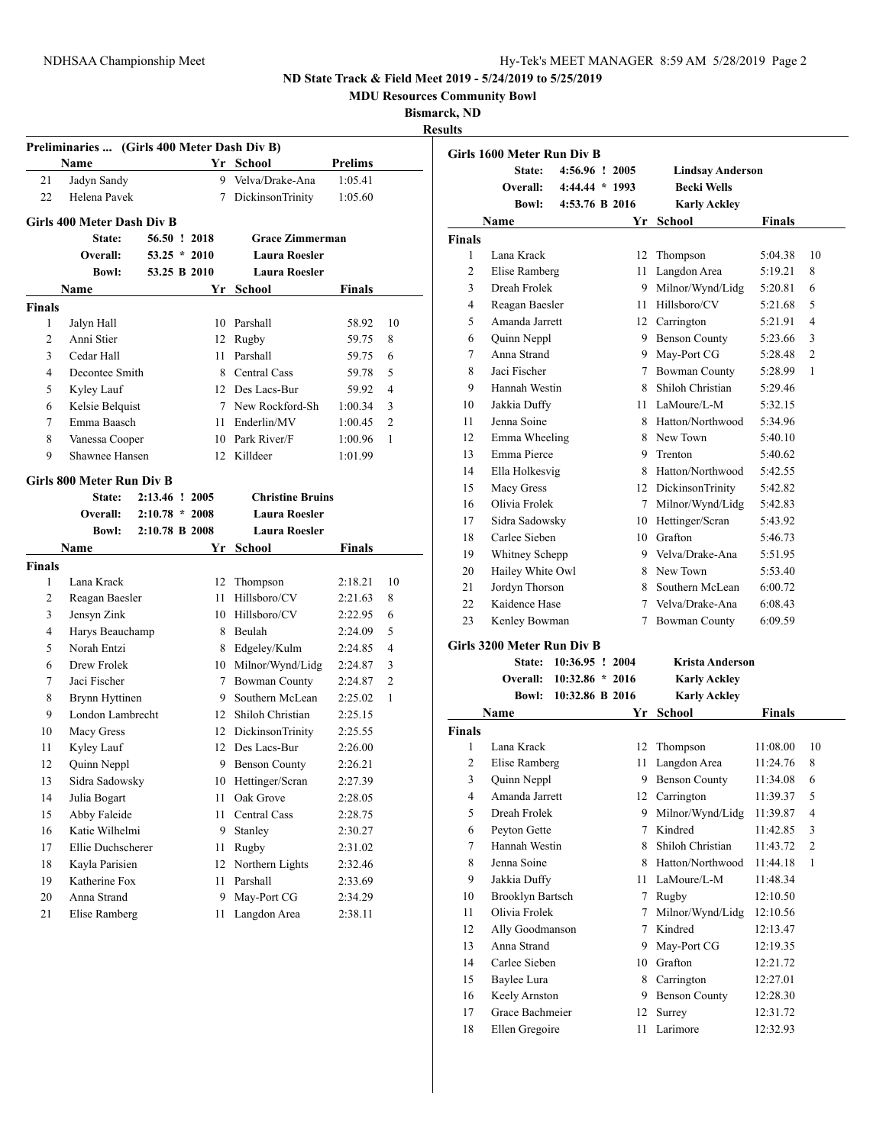**MDU Resources Community Bowl**

**Bismarck, ND Result** 

|                | Preliminaries  (Girls 400 Meter Dash Div B) |                  |    |                         |                |                |
|----------------|---------------------------------------------|------------------|----|-------------------------|----------------|----------------|
|                | Name                                        |                  |    | Yr School               | <b>Prelims</b> |                |
| 21             | Jadyn Sandy                                 |                  | 9. | Velva/Drake-Ana         | 1:05.41        |                |
| 22             | Helena Pavek                                |                  | 7  | <b>DickinsonTrinity</b> | 1:05.60        |                |
|                | Girls 400 Meter Dash Div B                  |                  |    |                         |                |                |
|                | State:                                      | 56.50 ! 2018     |    | <b>Grace Zimmerman</b>  |                |                |
|                | Overall:                                    | $53.25 * 2010$   |    | <b>Laura Roesler</b>    |                |                |
|                | <b>Bowl:</b>                                | 53.25 B 2010     |    | <b>Laura Roesler</b>    |                |                |
|                | Name                                        |                  | Yr | School                  | Finals         |                |
| <b>Finals</b>  |                                             |                  |    |                         |                |                |
| 1              | Jalyn Hall                                  |                  |    | 10 Parshall             | 58.92          | 10             |
| 2              | Anni Stier                                  |                  |    | 12 Rugby                | 59.75          | 8              |
| 3              | Cedar Hall                                  |                  |    | 11 Parshall             | 59.75          | 6              |
| $\overline{4}$ | Decontee Smith                              |                  |    | 8 Central Cass          | 59.78          | 5              |
| 5              | Kyley Lauf                                  |                  |    | 12 Des Lacs-Bur         | 59.92          | 4              |
| 6              | Kelsie Belquist                             |                  |    | 7 New Rockford-Sh       | 1:00.34        | 3              |
| 7              | Emma Baasch                                 |                  | 11 | Enderlin/MV             | 1:00.45        | 2              |
| 8              | Vanessa Cooper                              |                  |    | 10 Park River/F         | 1:00.96        | 1              |
| 9              | Shawnee Hansen                              |                  | 12 | Killdeer                | 1:01.99        |                |
|                | Girls 800 Meter Run Div B                   |                  |    |                         |                |                |
|                | State:                                      | 2:13.46 ! 2005   |    | <b>Christine Bruins</b> |                |                |
|                | Overall:                                    | $2:10.78 * 2008$ |    | <b>Laura Roesler</b>    |                |                |
|                | <b>Bowl:</b>                                | 2:10.78 B 2008   |    | <b>Laura Roesler</b>    |                |                |
|                | Name                                        |                  | Yr | School                  | Finals         |                |
| <b>Finals</b>  |                                             |                  |    |                         |                |                |
| 1              | Lana Krack                                  |                  |    | 12 Thompson             | 2:18.21        | 10             |
| 2              | Reagan Baesler                              |                  | 11 | Hillsboro/CV            | 2:21.63        | 8              |
| 3              | Jensyn Zink                                 |                  |    | 10 Hillsboro/CV         | 2:22.95        | 6              |
| 4              | Harys Beauchamp                             |                  | 8  | Beulah                  | 2:24.09        | 5              |
| 5              | Norah Entzi                                 |                  | 8  | Edgeley/Kulm            | 2:24.85        | 4              |
| 6              | Drew Frolek                                 |                  | 10 | Milnor/Wynd/Lidg        | 2:24.87        | 3              |
| 7              | Jaci Fischer                                |                  | 7  | <b>Bowman County</b>    | 2:24.87        | $\overline{2}$ |
| 8              | Brynn Hyttinen                              |                  | 9. | Southern McLean         | 2:25.02        | 1              |
| 9              | London Lambrecht                            |                  |    | 12 Shiloh Christian     | 2:25.15        |                |
| 10             | Macy Gress                                  |                  |    | 12 DickinsonTrinity     | 2:25.55        |                |
| 11             | Kyley Lauf                                  |                  |    | 12 Des Lacs-Bur         | 2:26.00        |                |
| 12             | Quinn Neppl                                 |                  |    | 9 Benson County         | 2:26.21        |                |
| 13             | Sidra Sadowsky                              |                  | 10 | Hettinger/Scran         | 2:27.39        |                |
| 14             | Julia Bogart                                |                  | 11 | Oak Grove               | 2:28.05        |                |
| 15             | Abby Faleide                                |                  | 11 | Central Cass            | 2:28.75        |                |
| 16             | Katie Wilhelmi                              |                  | 9  | Stanley                 | 2:30.27        |                |
| 17             | Ellie Duchscherer                           |                  | 11 | Rugby                   | 2:31.02        |                |
| 18             | Kayla Parisien                              |                  | 12 | Northern Lights         | 2:32.46        |                |
| 19             | Katherine Fox                               |                  | 11 | Parshall                | 2:33.69        |                |
| 20             | Anna Strand                                 |                  | 9  | May-Port CG             | 2:34.29        |                |
| 21             | <b>Elise Ramberg</b>                        |                  | 11 | Langdon Area            | 2:38.11        |                |
|                |                                             |                  |    |                         |                |                |

|                | Girls 1600 Meter Run Div B |                |        |                         |               |                |
|----------------|----------------------------|----------------|--------|-------------------------|---------------|----------------|
|                | State:                     | 4:56.96 ! 2005 |        | <b>Lindsay Anderson</b> |               |                |
|                | Overall:                   | 4:44.44 * 1993 |        | <b>Becki Wells</b>      |               |                |
|                | <b>Bowl:</b>               | 4:53.76 B 2016 |        | <b>Karly Ackley</b>     |               |                |
|                | Name                       |                | Yr     | <b>School</b>           | <b>Finals</b> |                |
| <b>Finals</b>  |                            |                |        |                         |               |                |
| 1              | Lana Krack                 |                | 12     | Thompson                | 5:04.38       | 10             |
| $\overline{c}$ | Elise Ramberg              |                | 11     | Langdon Area            | 5:19.21       | 8              |
| 3              | Dreah Frolek               |                | 9      | Milnor/Wynd/Lidg        | 5:20.81       | 6              |
| 4              | Reagan Baesler             |                | 11     | Hillsboro/CV            | 5:21.68       | 5              |
| 5              | Amanda Jarrett             |                | 12     | Carrington              | 5:21.91       | $\overline{4}$ |
| 6              | Quinn Neppl                |                |        | 9 Benson County         | 5:23.66       | 3              |
| 7              | Anna Strand                |                | 9      | May-Port CG             | 5:28.48       | $\overline{2}$ |
| 8              | Jaci Fischer               |                | $\tau$ | <b>Bowman County</b>    | 5:28.99       | 1              |
| 9              | Hannah Westin              |                | 8      | Shiloh Christian        | 5:29.46       |                |
| 10             | Jakkia Duffy               |                | 11.    | LaMoure/L-M             | 5:32.15       |                |
| 11             | Jenna Soine                |                | 8      | Hatton/Northwood        | 5:34.96       |                |
| 12             | Emma Wheeling              |                | 8      | New Town                | 5:40.10       |                |
| 13             | Emma Pierce                |                | 9      | Trenton                 | 5:40.62       |                |
| 14             | Ella Holkesvig             |                |        | 8 Hatton/Northwood      | 5:42.55       |                |
| 15             | Macy Gress                 |                | 12     | <b>DickinsonTrinity</b> | 5:42.82       |                |
| 16             | Olivia Frolek              |                | 7      | Milnor/Wynd/Lidg        | 5:42.83       |                |
| 17             | Sidra Sadowsky             |                | 10     | Hettinger/Scran         | 5:43.92       |                |
| 18             | Carlee Sieben              |                | 10     | Grafton                 | 5:46.73       |                |
| 19             | Whitney Schepp             |                |        | 9 Velva/Drake-Ana       | 5:51.95       |                |
| 20             | Hailey White Owl           |                |        | 8 New Town              | 5:53.40       |                |
| 21             | Jordyn Thorson             |                | 8.     | Southern McLean         | 6:00.72       |                |
| 22             | Kaidence Hase              |                |        | 7 Velva/Drake-Ana       | 6:08.43       |                |
| 23             | Kenley Bowman              |                | 7      | <b>Bowman County</b>    | 6:09.59       |                |
|                | Girls 3200 Meter Run Div B |                |        |                         |               |                |
|                |                            |                |        |                         |               |                |

### **State: 10:36.95 ! 2004 Krista Anderson Overall: 10:32.86 \* 2016**

|        |                         |                 |                     | <b>IXALLY IXUNIU</b> |               |                |
|--------|-------------------------|-----------------|---------------------|----------------------|---------------|----------------|
|        | <b>Bowl:</b>            | 10:32.86 B 2016 |                     | <b>Karly Ackley</b>  |               |                |
|        | Name                    |                 | <b>School</b><br>Yr |                      | <b>Finals</b> |                |
| Finals |                         |                 |                     |                      |               |                |
| 1      | Lana Krack              |                 | 12                  | Thompson             | 11:08.00      | 10             |
| 2      | Elise Ramberg           |                 | 11                  | Langdon Area         | 11:24.76      | 8              |
| 3      | Quinn Neppl             |                 | 9                   | <b>Benson County</b> | 11:34.08      | 6              |
| 4      | Amanda Jarrett          |                 | 12                  | Carrington           | 11:39.37      | 5              |
| 5      | Dreah Frolek            |                 | 9                   | Milnor/Wynd/Lidg     | 11:39.87      | 4              |
| 6      | Peyton Gette            |                 | 7                   | Kindred              | 11:42.85      | 3              |
| 7      | Hannah Westin           |                 | 8                   | Shiloh Christian     | 11:43.72      | $\overline{2}$ |
| 8      | Jenna Soine             |                 | 8                   | Hatton/Northwood     | 11:44.18      | 1              |
| 9      | Jakkia Duffy            |                 | 11                  | LaMoure/L-M          | 11:48.34      |                |
| 10     | <b>Brooklyn Bartsch</b> |                 | 7                   | Rugby                | 12:10.50      |                |
| 11     | Olivia Frolek           |                 | 7                   | Milnor/Wynd/Lidg     | 12:10.56      |                |
| 12     | Ally Goodmanson         |                 | 7                   | Kindred              | 12:13.47      |                |
| 13     | Anna Strand             |                 | 9                   | May-Port CG          | 12:19.35      |                |
| 14     | Carlee Sieben           |                 | 10                  | Grafton              | 12:21.72      |                |
| 15     | Baylee Lura             |                 | 8                   | Carrington           | 12:27.01      |                |
| 16     | Keely Arnston           |                 | 9                   | <b>Benson County</b> | 12:28.30      |                |
| 17     | Grace Bachmeier         |                 | 12                  | Surrey               | 12:31.72      |                |
| 18     | Ellen Gregoire          |                 | 11                  | Larimore             | 12:32.93      |                |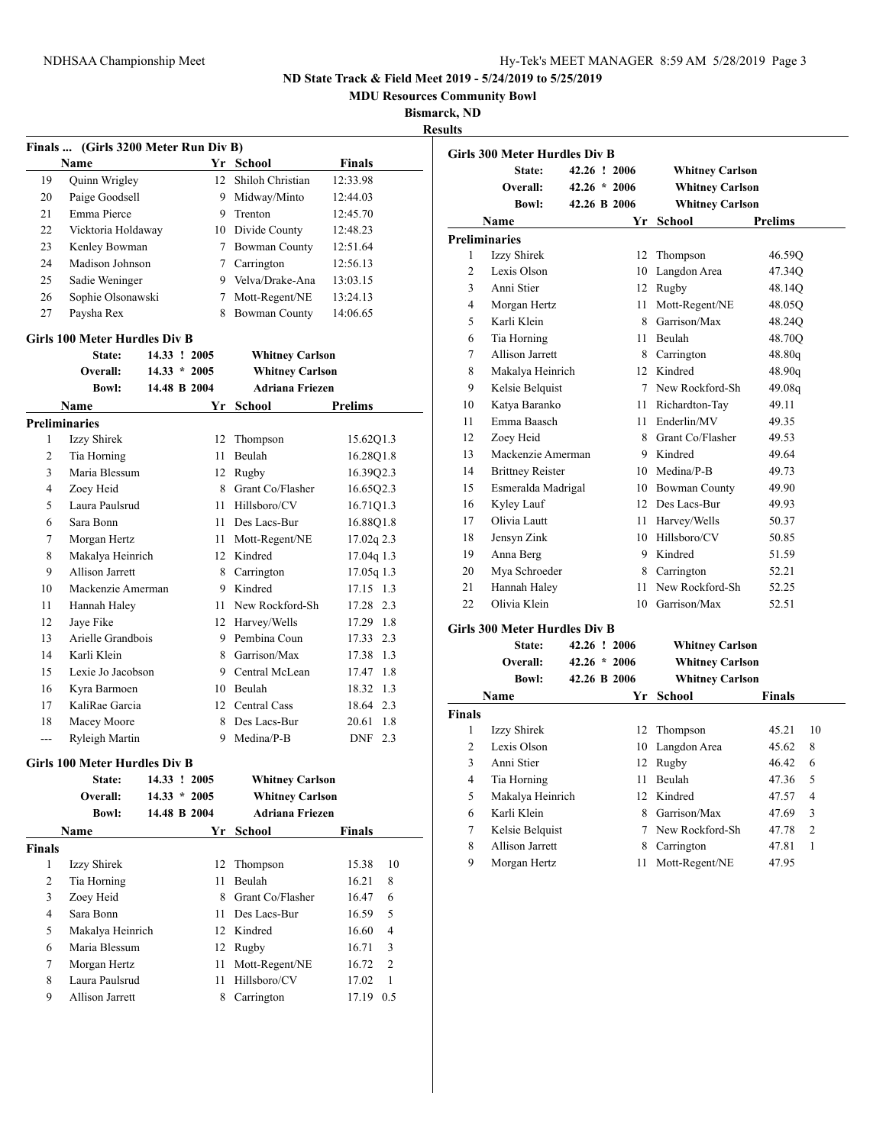**MDU Resources Community Bowl**

### **Bismarck, ND**

**Results**

|                | Finals  (Girls 3200 Meter Run Div B) |                |                        |                       |
|----------------|--------------------------------------|----------------|------------------------|-----------------------|
|                | <b>Name</b>                          |                | Yr School              | <b>Finals</b>         |
| 19             | Quinn Wrigley                        | 12             | Shiloh Christian       | 12:33.98              |
| 20             | Paige Goodsell                       | 9              | Midway/Minto           | 12:44.03              |
| 21             | Emma Pierce                          | 9.             | Trenton                | 12:45.70              |
| 22             | Vicktoria Holdaway                   |                | 10 Divide County       | 12:48.23              |
| 23             | Kenley Bowman                        |                | 7 Bowman County        | 12:51.64              |
| 24             | Madison Johnson                      |                | 7 Carrington           | 12:56.13              |
| 25             | Sadie Weninger                       |                | 9 Velva/Drake-Ana      | 13:03.15              |
| 26             | Sophie Olsonawski                    |                | 7 Mott-Regent/NE       | 13:24.13              |
| 27             | Paysha Rex                           | 8              | <b>Bowman County</b>   | 14:06.65              |
|                | Girls 100 Meter Hurdles Div B        |                |                        |                       |
|                | State:                               | 14.33 ! 2005   | <b>Whitney Carlson</b> |                       |
|                | Overall:                             | $14.33 * 2005$ | <b>Whitney Carlson</b> |                       |
|                | <b>Bowl:</b>                         | 14.48 B 2004   | <b>Adriana Friezen</b> |                       |
|                | Name                                 | Yr             | <b>School</b>          | <b>Prelims</b>        |
|                | <b>Preliminaries</b>                 |                |                        |                       |
| 1              | Izzy Shirek                          | 12             | Thompson               | 15.62Q1.3             |
| 2              | Tia Horning                          | 11             | <b>Beulah</b>          | 16.28Q1.8             |
| 3              | Maria Blessum                        |                | 12 Rugby               | 16.39Q2.3             |
| $\overline{4}$ | Zoey Heid                            |                | 8 Grant Co/Flasher     | 16.65Q2.3             |
| 5              | Laura Paulsrud                       |                | 11 Hillsboro/CV        | 16.71Q1.3             |
| 6              | Sara Bonn                            |                | 11 Des Lacs-Bur        | 16.88Q1.8             |
| 7              | Morgan Hertz                         |                | 11 Mott-Regent/NE      | $17.02q$ 2.3          |
| 8              | Makalya Heinrich                     |                | 12 Kindred             | 17.04q 1.3            |
| 9              | Allison Jarrett                      |                | 8 Carrington           | $17.05q$ 1.3          |
| 10             | Mackenzie Amerman                    |                | 9 Kindred              | 17.15 1.3             |
| 11             | Hannah Haley                         | 11             | New Rockford-Sh        | 17.28 2.3             |
| 12             | Jaye Fike                            |                | 12 Harvey/Wells        | 17.29 1.8             |
| 13             | Arielle Grandbois                    |                | 9 Pembina Coun         | 17.33 2.3             |
| 14             | Karli Klein                          |                | 8 Garrison/Max         | 17.38 1.3             |
| 15             | Lexie Jo Jacobson                    |                | 9 Central McLean       | 17.47 1.8             |
| 16             | Kyra Barmoen                         |                | 10 Beulah              | 18.32 1.3             |
| 17             | KaliRae Garcia                       |                | 12 Central Cass        | 18.64 2.3             |
| 18             | Macey Moore                          |                | 8 Des Lacs-Bur         | 20.61 1.8             |
| $\overline{a}$ | Ryleigh Martin                       |                | 9 Medina/P-B           | DNF 2.3               |
|                | <b>Girls 100 Meter Hurdles Div B</b> |                |                        |                       |
|                | State:                               | 14.33 ! 2005   | <b>Whitney Carlson</b> |                       |
|                | Overall:                             | $14.33 * 2005$ | <b>Whitney Carlson</b> |                       |
|                | <b>Bowl:</b>                         | 14.48 B 2004   | <b>Adriana Friezen</b> |                       |
|                | Name                                 | Yr             | <b>School</b>          | Finals                |
| <b>Finals</b>  |                                      |                |                        |                       |
| 1              | Izzy Shirek                          | 12             | Thompson               | 15.38<br>10           |
| 2              | Tia Horning                          | 11             | Beulah                 | 16.21<br>8            |
| 3              | Zoey Heid                            |                | 8 Grant Co/Flasher     | 6<br>16.47            |
| $\overline{4}$ | Sara Bonn                            | 11 -           | Des Lacs-Bur           | 5<br>16.59            |
| 5              | Makalya Heinrich                     |                | 12 Kindred             | 4<br>16.60            |
| 6              | Maria Blessum                        |                | 12 Rugby               | 16.71<br>3            |
| 7              | Morgan Hertz                         | 11             | Mott-Regent/NE         | 2<br>16.72            |
| 8              | Laura Paulsrud                       | 11             | Hillsboro/CV           | $\mathbf{1}$<br>17.02 |
| 9              | <b>Allison Jarrett</b>               | 8              | Carrington             | 17.19 0.5             |
|                |                                      |                |                        |                       |

|                | <b>Girls 300 Meter Hurdles Div B</b>    |                |                        |                |
|----------------|-----------------------------------------|----------------|------------------------|----------------|
|                | State:                                  | 42.26 ! 2006   | <b>Whitney Carlson</b> |                |
|                | Overall:                                | $42.26 * 2006$ | <b>Whitney Carlson</b> |                |
|                | <b>Bowl:</b>                            | 42.26 B 2006   | <b>Whitney Carlson</b> |                |
|                | Name                                    | Yr             | <b>School</b>          | <b>Prelims</b> |
|                | <b>Preliminaries</b>                    |                |                        |                |
| 1              | Izzy Shirek                             | 12             | Thompson               | 46.59Q         |
| $\overline{c}$ | Lexis Olson                             | 10             | Langdon Area           | 47.34Q         |
| 3              | Anni Stier                              | 12             | Rugby                  | 48.14Q         |
| 4              | Morgan Hertz                            | 11.            | Mott-Regent/NE         | 48.05O         |
| 5              | Karli Klein                             |                | 8 Garrison/Max         | 48.24Q         |
| 6              | Tia Horning                             | 11             | Beulah                 | 48.70O         |
| 7              | Allison Jarrett                         |                | 8 Carrington           | 48.80q         |
| 8              | Makalya Heinrich                        |                | 12 Kindred             | 48.90q         |
| 9              | Kelsie Belquist                         |                | 7 New Rockford-Sh      | 49.08g         |
| 10             | Katya Baranko                           | 11 -           | Richardton-Tay         | 49.11          |
| 11             | Emma Baasch                             |                | 11 Enderlin/MV         | 49.35          |
| 12             | Zoey Heid                               |                | 8 Grant Co/Flasher     | 49.53          |
| 13             | Mackenzie Amerman                       |                | 9 Kindred              | 49.64          |
| 14             | <b>Brittney Reister</b>                 |                | 10 Medina/P-B          | 49.73          |
| 15             | Esmeralda Madrigal                      |                | 10 Bowman County       | 49.90          |
| 16             | Kyley Lauf                              |                | 12 Des Lacs-Bur        | 49.93          |
| 17             | Olivia Lautt                            | 11             | Harvey/Wells           | 50.37          |
| 18             | Jensyn Zink                             |                | 10 Hillsboro/CV        | 50.85          |
| 19             | Anna Berg                               |                | 9 Kindred              | 51.59          |
| 20             | Mya Schroeder                           | 8              | Carrington             | 52.21          |
| 21             | Hannah Haley                            | 11             | New Rockford-Sh        | 52.25          |
| 22             | Olivia Klein                            | 10             | Garrison/Max           | 52.51          |
|                | $C_{\rm{inle}}$ 200 Motor Hundles Div D |                |                        |                |

#### **Girls 300 Meter Hurdles Div B**

|               | 42.26 ! 2006<br>State:<br>Overall: |              |                                          | <b>Whitney Carlson</b> |               |                |
|---------------|------------------------------------|--------------|------------------------------------------|------------------------|---------------|----------------|
|               |                                    |              | $42.26 * 2006$<br><b>Whitney Carlson</b> |                        |               |                |
|               | <b>Bowl:</b>                       | 42.26 B 2006 |                                          | <b>Whitney Carlson</b> |               |                |
|               | Name                               |              | Yr.                                      | School                 | <b>Finals</b> |                |
| <b>Finals</b> |                                    |              |                                          |                        |               |                |
| 1             | Izzy Shirek                        |              | 12.                                      | Thompson               | 45.21         | 10             |
| 2             | Lexis Olson                        |              | 10                                       | Langdon Area           | 45.62         | 8              |
| 3             | Anni Stier                         |              | 12                                       | Rugby                  | 46.42         | 6              |
| 4             | Tia Horning                        |              | 11                                       | <b>Beulah</b>          | 47.36         | 5              |
| 5             | Makalya Heinrich                   |              |                                          | 12 Kindred             | 47.57         | 4              |
| 6             | Karli Klein                        |              | 8                                        | Garrison/Max           | 47.69         | 3              |
| 7             | Kelsie Belquist                    |              |                                          | New Rockford-Sh        | 47.78         | $\overline{c}$ |
| 8             | Allison Jarrett                    |              | 8                                        | Carrington             | 47.81         | 1              |
| 9             | Morgan Hertz                       |              | 11                                       | Mott-Regent/NE         | 47.95         |                |
|               |                                    |              |                                          |                        |               |                |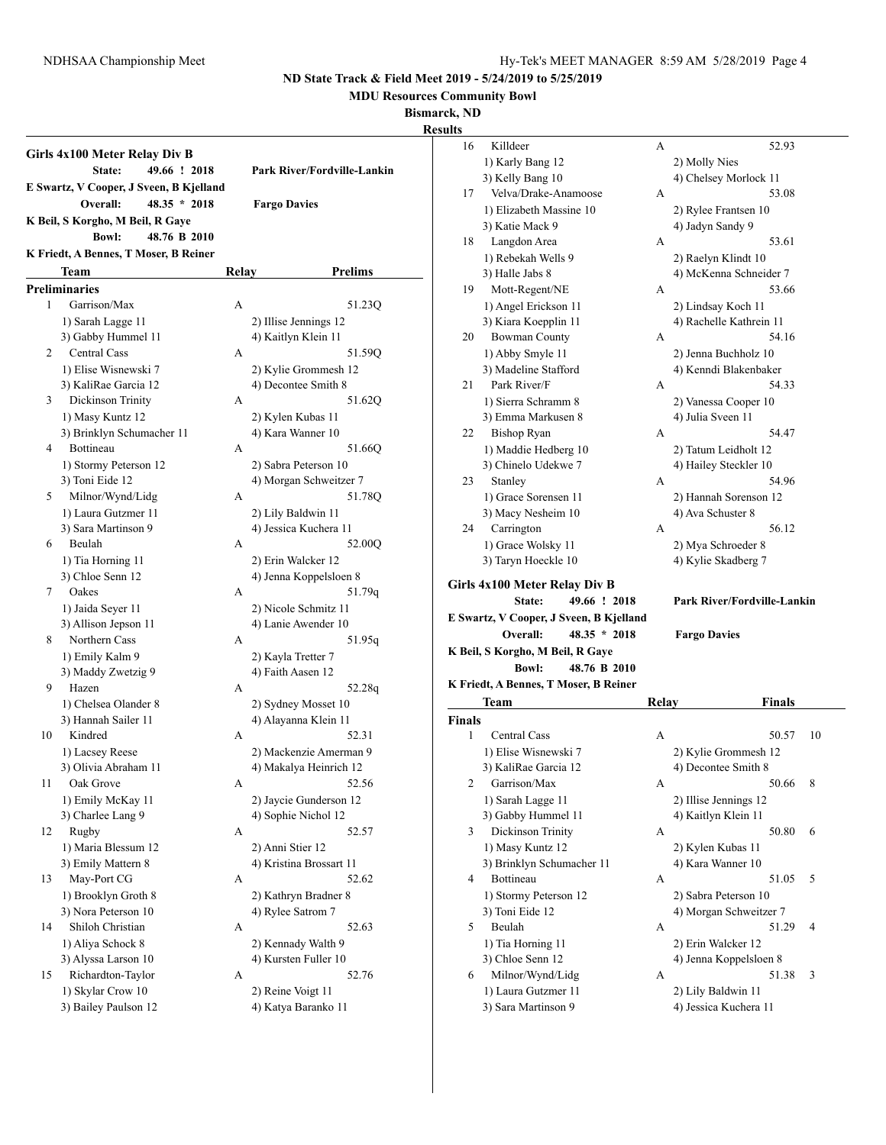**MDU Resources Community Bowl**

**Bismarck, ND**

**Result** 

|    | Girls 4x100 Meter Relay Div B<br>49.66 ! 2018<br>State:               |       | Park River/Fordville-Lankin |
|----|-----------------------------------------------------------------------|-------|-----------------------------|
|    | E Swartz, V Cooper, J Sveen, B Kjelland<br>Overall:<br>$48.35 * 2018$ |       | <b>Fargo Davies</b>         |
|    | K Beil, S Korgho, M Beil, R Gaye                                      |       |                             |
|    |                                                                       |       |                             |
|    | <b>Bowl:</b><br>48.76 B 2010                                          |       |                             |
|    | K Friedt, A Bennes, T Moser, B Reiner                                 |       |                             |
|    | Team                                                                  | Relay | <b>Prelims</b>              |
|    | Preliminaries                                                         |       |                             |
| 1  | Garrison/Max                                                          | А     | 51.23Q                      |
|    | 1) Sarah Lagge 11                                                     |       | 2) Illise Jennings 12       |
|    | 3) Gabby Hummel 11                                                    |       | 4) Kaitlyn Klein 11         |
| 2  | <b>Central Cass</b>                                                   | А     | 51.59Q                      |
|    | 1) Elise Wisnewski 7                                                  |       | 2) Kylie Grommesh 12        |
|    | 3) KaliRae Garcia 12                                                  |       | 4) Decontee Smith 8         |
| 3  | Dickinson Trinity                                                     | А     | 51.62Q                      |
|    | 1) Masy Kuntz 12                                                      |       | 2) Kylen Kubas 11           |
|    | 3) Brinklyn Schumacher 11                                             |       | 4) Kara Wanner 10           |
| 4  | <b>Bottineau</b>                                                      | A     | 51.66Q                      |
|    | 1) Stormy Peterson 12                                                 |       | 2) Sabra Peterson 10        |
|    | 3) Toni Eide 12                                                       |       | 4) Morgan Schweitzer 7      |
| 5  | Milnor/Wynd/Lidg                                                      | А     | 51.78O                      |
|    | 1) Laura Gutzmer 11                                                   |       | 2) Lily Baldwin 11          |
|    | 3) Sara Martinson 9                                                   |       | 4) Jessica Kuchera 11       |
| 6  | Beulah                                                                | А     | 52.00Q                      |
|    | 1) Tia Horning 11                                                     |       | 2) Erin Walcker 12          |
|    | 3) Chloe Senn 12                                                      |       | 4) Jenna Koppelsloen 8      |
| 7  | Oakes                                                                 | А     | 51.79q                      |
|    | 1) Jaida Seyer 11                                                     |       | 2) Nicole Schmitz 11        |
|    | 3) Allison Jepson 11                                                  |       | 4) Lanie Awender 10         |
| 8  | Northern Cass                                                         | А     | 51.95q                      |
|    | 1) Emily Kalm 9                                                       |       | 2) Kayla Tretter 7          |
|    | 3) Maddy Zwetzig 9                                                    |       | 4) Faith Aasen 12           |
| 9  | Hazen                                                                 | А     | 52.28q                      |
|    | 1) Chelsea Olander 8                                                  |       | 2) Sydney Mosset 10         |
|    | 3) Hannah Sailer 11                                                   |       | 4) Alayanna Klein 11        |
| 10 | Kindred                                                               | А     | 52.31                       |
|    | 1) Lacsey Reese                                                       |       | 2) Mackenzie Amerman 9      |
|    | 3) Olivia Abraham 11                                                  |       | 4) Makalya Heinrich 12      |
| 11 | Oak Grove                                                             | А     | 52.56                       |
|    | 1) Emily McKay 11                                                     |       | 2) Jaycie Gunderson 12      |
|    | 3) Charlee Lang 9                                                     |       | 4) Sophie Nichol 12         |
| 12 | Rugby                                                                 | А     | 52.57                       |
|    | 1) Maria Blessum 12                                                   |       | 2) Anni Stier 12            |
|    | 3) Emily Mattern 8                                                    |       | 4) Kristina Brossart 11     |
| 13 | May-Port CG                                                           | А     | 52.62                       |
|    | 1) Brooklyn Groth 8                                                   |       | 2) Kathryn Bradner 8        |
|    | 3) Nora Peterson 10                                                   |       | 4) Rylee Satrom 7           |
| 14 | Shiloh Christian                                                      | А     | 52.63                       |
|    | 1) Aliya Schock 8                                                     |       | 2) Kennady Walth 9          |
|    | 3) Alyssa Larson 10                                                   |       | 4) Kursten Fuller 10        |
| 15 | Richardton-Taylor                                                     | А     | 52.76                       |
|    | 1) Skylar Crow 10                                                     |       | 2) Reine Voigt 11           |
|    | 3) Bailey Paulson 12                                                  |       | 4) Katya Baranko 11         |
|    |                                                                       |       |                             |

| ults          |                                            |       |                                             |    |
|---------------|--------------------------------------------|-------|---------------------------------------------|----|
| 16            | Killdeer                                   | А     | 52.93                                       |    |
|               | 1) Karly Bang 12                           |       | 2) Molly Nies                               |    |
|               | 3) Kelly Bang 10                           |       | 4) Chelsey Morlock 11                       |    |
| 17            | Velva/Drake-Anamoose                       | А     | 53.08                                       |    |
|               | 1) Elizabeth Massine 10                    |       | 2) Rylee Frantsen 10                        |    |
|               | 3) Katie Mack 9                            |       | 4) Jadyn Sandy 9                            |    |
| 18            | Langdon Area                               | А     | 53.61                                       |    |
|               | 1) Rebekah Wells 9                         |       | 2) Raelyn Klindt 10                         |    |
|               | 3) Halle Jabs 8                            |       | 4) McKenna Schneider 7                      |    |
| 19            | Mott-Regent/NE                             | А     | 53.66                                       |    |
|               | 1) Angel Erickson 11                       |       | 2) Lindsay Koch 11                          |    |
|               | 3) Kiara Koepplin 11                       |       | 4) Rachelle Kathrein 11                     |    |
| 20            | <b>Bowman County</b>                       | А     | 54.16                                       |    |
|               | 1) Abby Smyle 11                           |       | 2) Jenna Buchholz 10                        |    |
|               | 3) Madeline Stafford                       |       | 4) Kenndi Blakenbaker                       |    |
| 21            | Park River/F                               | А     | 54.33                                       |    |
|               | 1) Sierra Schramm 8                        |       | 2) Vanessa Cooper 10                        |    |
|               | 3) Emma Markusen 8                         |       | 4) Julia Sveen 11                           |    |
| 22            | <b>Bishop Ryan</b>                         | А     | 54.47                                       |    |
|               | 1) Maddie Hedberg 10                       |       | 2) Tatum Leidholt 12                        |    |
|               | 3) Chinelo Udekwe 7                        |       | 4) Hailey Steckler 10                       |    |
| 23            | Stanley                                    | А     | 54.96                                       |    |
|               | 1) Grace Sorensen 11                       |       | 2) Hannah Sorenson 12                       |    |
|               | 3) Macy Nesheim 10                         |       | 4) Ava Schuster 8                           |    |
| 24            | Carrington                                 | А     | 56.12                                       |    |
|               | 1) Grace Wolsky 11                         |       | 2) Mya Schroeder 8                          |    |
|               | 3) Taryn Hoeckle 10                        |       | 4) Kylie Skadberg 7                         |    |
|               |                                            |       |                                             |    |
|               | Girls 4x100 Meter Relay Div B              |       |                                             |    |
|               | 49.66 ! 2018<br>State:                     |       | Park River/Fordville-Lankin                 |    |
|               | E Swartz, V Cooper, J Sveen, B Kjelland    |       |                                             |    |
|               | Overall:<br>$48.35 * 2018$                 |       | <b>Fargo Davies</b>                         |    |
|               | K Beil, S Korgho, M Beil, R Gaye           |       |                                             |    |
|               | <b>Bowl:</b><br>48.76 B 2010               |       |                                             |    |
|               | K Friedt, A Bennes, T Moser, B Reiner      |       |                                             |    |
|               | Team                                       | Relay | Finals                                      |    |
| <b>Finals</b> |                                            |       |                                             |    |
| 1             | Central Cass                               | А     | 50.57                                       | 10 |
|               | 1) Elise Wisnewski 7                       |       | 2) Kylie Grommesh 12                        |    |
|               | 3) KaliRae Garcia 12                       |       | 4) Decontee Smith 8                         |    |
| 2             | Garrison/Max                               | А     | 50.66                                       | 8  |
|               | 1) Sarah Lagge 11                          |       | 2) Illise Jennings 12                       |    |
|               |                                            |       | 4) Kaitlyn Klein 11                         |    |
| 3             |                                            |       |                                             |    |
|               | 3) Gabby Hummel 11                         | А     |                                             | 6  |
|               | Dickinson Trinity                          |       | 50.80                                       |    |
|               | 1) Masy Kuntz 12                           |       | 2) Kylen Kubas 11                           |    |
| 4             | 3) Brinklyn Schumacher 11                  |       | 4) Kara Wanner 10                           |    |
|               | Bottineau                                  | А     | 51.05                                       | 5  |
|               | 1) Stormy Peterson 12                      |       | 2) Sabra Peterson 10                        |    |
|               | 3) Toni Eide 12                            |       | 4) Morgan Schweitzer 7                      |    |
| 5             | Beulah                                     | А     | 51.29                                       | 4  |
|               | 1) Tia Horning 11                          |       | 2) Erin Walcker 12                          |    |
|               | 3) Chloe Senn 12                           |       | 4) Jenna Koppelsloen 8                      |    |
| 6             | Milnor/Wynd/Lidg                           | А     | 51.38                                       | 3  |
|               | 1) Laura Gutzmer 11<br>3) Sara Martinson 9 |       | 2) Lily Baldwin 11<br>4) Jessica Kuchera 11 |    |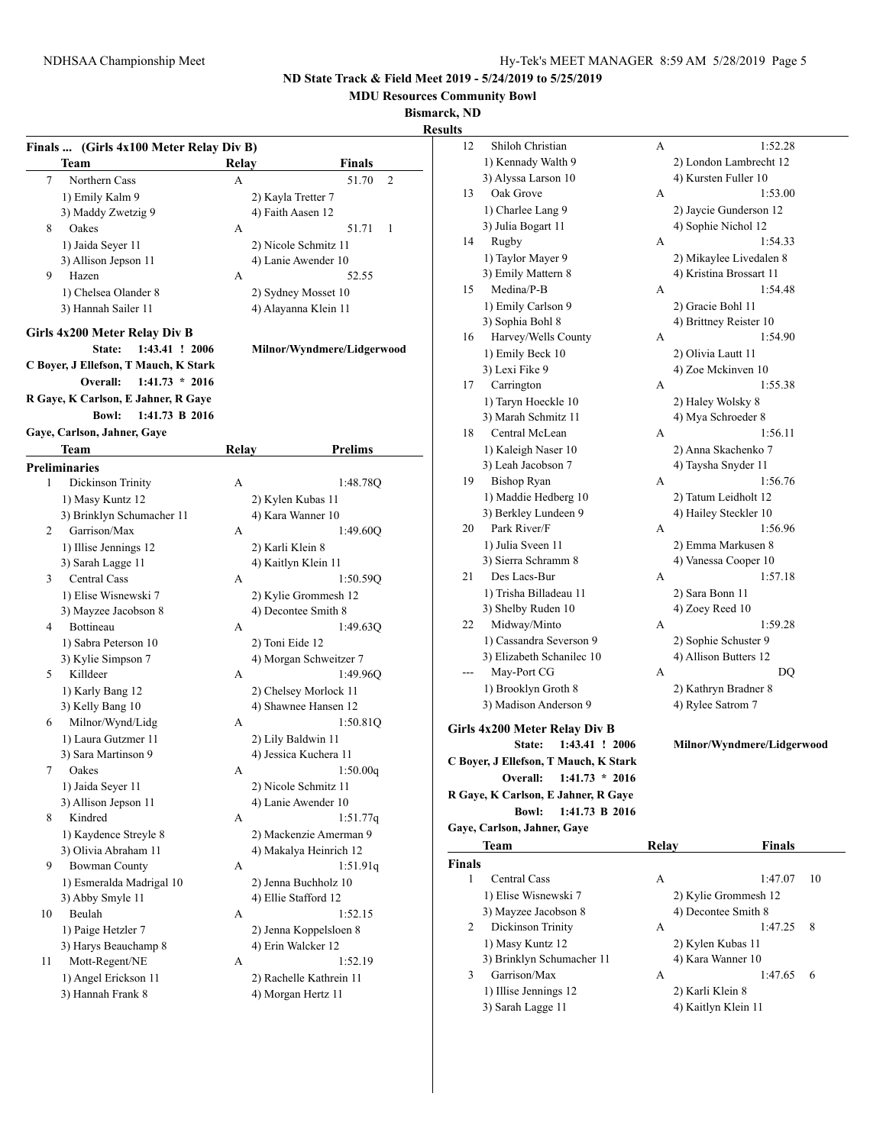**MDU Resources Community Bowl**

**Bismarck, ND**

**Results**

|    | Finals  (Girls 4x100 Meter Relay Div B) |       |                                    |
|----|-----------------------------------------|-------|------------------------------------|
|    | Team                                    | Relay | Finals                             |
| 7  | Northern Cass                           | A     | 51.70<br>2                         |
|    | 1) Emily Kalm 9                         |       | 2) Kayla Tretter 7                 |
|    | 3) Maddy Zwetzig 9                      |       | 4) Faith Aasen 12                  |
| 8  | Oakes                                   | А     | 51.71<br>1                         |
|    | 1) Jaida Seyer 11                       |       | 2) Nicole Schmitz 11               |
|    | 3) Allison Jepson 11                    |       | 4) Lanie Awender 10                |
| 9  | Hazen                                   | А     | 52.55                              |
|    | 1) Chelsea Olander 8                    |       | 2) Sydney Mosset 10                |
|    | 3) Hannah Sailer 11                     |       | 4) Alayanna Klein 11               |
|    | Girls 4x200 Meter Relay Div B           |       |                                    |
|    | State:<br>1:43.41 ! 2006                |       | Milnor/Wyndmere/Lidgerwood         |
|    | C Boyer, J Ellefson, T Mauch, K Stark   |       |                                    |
|    | Overall:<br>$1:41.73 * 2016$            |       |                                    |
|    | R Gaye, K Carlson, E Jahner, R Gaye     |       |                                    |
|    | 1:41.73 B 2016<br><b>Bowl:</b>          |       |                                    |
|    | Gaye, Carlson, Jahner, Gaye             |       |                                    |
|    | Team                                    | Relay | <b>Prelims</b>                     |
|    | Preliminaries                           |       |                                    |
| 1  | Dickinson Trinity                       | А     | 1:48.78Q                           |
|    | 1) Masy Kuntz 12                        |       | 2) Kylen Kubas 11                  |
|    | 3) Brinklyn Schumacher 11               |       | 4) Kara Wanner 10                  |
| 2  | Garrison/Max                            | А     | 1:49.60Q                           |
|    | 1) Illise Jennings 12                   |       | 2) Karli Klein 8                   |
|    | 3) Sarah Lagge 11                       |       | 4) Kaitlyn Klein 11                |
| 3  | <b>Central Cass</b>                     | А     | 1:50.59Q                           |
|    | 1) Elise Wisnewski 7                    |       | 2) Kylie Grommesh 12               |
|    | 3) Mayzee Jacobson 8                    |       | 4) Decontee Smith 8                |
| 4  | Bottineau                               | A     | 1:49.63Q                           |
|    | 1) Sabra Peterson 10                    |       | 2) Toni Eide 12                    |
|    | 3) Kylie Simpson 7                      |       | 4) Morgan Schweitzer 7             |
| 5  | Killdeer                                | А     | 1:49.96Q                           |
|    | 1) Karly Bang 12                        |       | 2) Chelsey Morlock 11              |
|    | 3) Kelly Bang 10                        |       | 4) Shawnee Hansen 12               |
| 6  | Milnor/Wynd/Lidg                        | А     | 1:50.81Q                           |
|    | 1) Laura Gutzmer 11                     |       | 2) Lily Baldwin 11                 |
|    | 3) Sara Martinson 9                     |       | 4) Jessica Kuchera 11              |
| 7  | Oakes                                   | А     | 1:50.00q                           |
|    | 1) Jaida Seyer 11                       |       | 2) Nicole Schmitz 11               |
|    | 3) Allison Jepson 11                    |       | 4) Lanie Awender 10                |
| 8  | Kindred                                 | А     | 1:51.77q                           |
|    | 1) Kaydence Streyle 8                   |       | 2) Mackenzie Amerman 9             |
|    | 3) Olivia Abraham 11                    |       | 4) Makalya Heinrich 12             |
| 9  | <b>Bowman County</b>                    | А     | 1:51.91q                           |
|    | 1) Esmeralda Madrigal 10                |       | 2) Jenna Buchholz 10               |
|    | 3) Abby Smyle 11                        |       | 4) Ellie Stafford 12               |
| 10 | Beulah                                  | А     | 1:52.15                            |
|    | 1) Paige Hetzler 7                      |       | 2) Jenna Koppelsloen 8             |
|    |                                         |       |                                    |
|    |                                         |       |                                    |
|    | 3) Harys Beauchamp 8                    |       | 4) Erin Walcker 12                 |
| 11 | Mott-Regent/NE<br>1) Angel Erickson 11  | А     | 1:52.19<br>2) Rachelle Kathrein 11 |

| 12            | Shiloh Christian                      | А     | 1:52.28                   |    |
|---------------|---------------------------------------|-------|---------------------------|----|
|               | 1) Kennady Walth 9                    |       | 2) London Lambrecht 12    |    |
|               | 3) Alyssa Larson 10                   |       | 4) Kursten Fuller 10      |    |
| 13            | Oak Grove                             | А     | 1:53.00                   |    |
|               | 1) Charlee Lang 9                     |       | 2) Jaycie Gunderson 12    |    |
|               | 3) Julia Bogart 11                    |       | 4) Sophie Nichol 12       |    |
| 14            | Rugby                                 | А     | 1:54.33                   |    |
|               | 1) Taylor Mayer 9                     |       | 2) Mikaylee Livedalen 8   |    |
|               | 3) Emily Mattern 8                    |       | 4) Kristina Brossart 11   |    |
| 15            | Medina/P-B                            | А     | 1:54.48                   |    |
|               | 1) Emily Carlson 9                    |       | 2) Gracie Bohl 11         |    |
|               | 3) Sophia Bohl 8                      |       | 4) Brittney Reister 10    |    |
| 16            | Harvey/Wells County                   | А     | 1:54.90                   |    |
|               | 1) Emily Beck 10                      |       | 2) Olivia Lautt 11        |    |
|               | 3) Lexi Fike 9                        |       | 4) Zoe Mckinven 10        |    |
| 17            | Carrington                            | А     | 1:55.38                   |    |
|               | 1) Taryn Hoeckle 10                   |       | 2) Haley Wolsky 8         |    |
|               | 3) Marah Schmitz 11                   |       | 4) Mya Schroeder 8        |    |
| 18            | Central McLean                        | А     | 1:56.11                   |    |
|               | 1) Kaleigh Naser 10                   |       | 2) Anna Skachenko 7       |    |
|               | 3) Leah Jacobson 7                    |       | 4) Taysha Snyder 11       |    |
| 19            | <b>Bishop Ryan</b>                    | А     | 1:56.76                   |    |
|               | 1) Maddie Hedberg 10                  |       | 2) Tatum Leidholt 12      |    |
|               | 3) Berkley Lundeen 9                  |       | 4) Hailey Steckler 10     |    |
| 20            | Park River/F                          | А     | 1:56.96                   |    |
|               | 1) Julia Sveen 11                     |       | 2) Emma Markusen 8        |    |
|               | 3) Sierra Schramm 8                   |       | 4) Vanessa Cooper 10      |    |
| 21            | Des Lacs-Bur                          | А     | 1:57.18                   |    |
|               | 1) Trisha Billadeau 11                |       | 2) Sara Bonn 11           |    |
|               | 3) Shelby Ruden 10                    |       | 4) Zoey Reed 10           |    |
| 22            | Midway/Minto                          | А     | 1:59.28                   |    |
|               | 1) Cassandra Severson 9               |       | 2) Sophie Schuster 9      |    |
|               | 3) Elizabeth Schanilec 10             |       | 4) Allison Butters 12     |    |
| ---           | May-Port CG                           | А     | DQ                        |    |
|               | 1) Brooklyn Groth 8                   |       | 2) Kathryn Bradner 8      |    |
|               | 3) Madison Anderson 9                 |       | 4) Rylee Satrom 7         |    |
|               |                                       |       |                           |    |
|               | Girls 4x200 Meter Relay Div B         |       |                           |    |
|               | 1:43.41 ! 2006<br>State:              |       | Milnor/Wyndmere/Lidgerwoo |    |
|               | C Boyer, J Ellefson, T Mauch, K Stark |       |                           |    |
|               | $1:41.73 * 2016$<br>Overall:          |       |                           |    |
|               | R Gaye, K Carlson, E Jahner, R Gaye   |       |                           |    |
|               | 1:41.73 B 2016<br><b>Bowl:</b>        |       |                           |    |
|               | Gaye, Carlson, Jahner, Gaye           |       |                           |    |
|               | Team                                  | Relay | <b>Finals</b>             |    |
| <b>Finals</b> |                                       |       |                           |    |
| 1             | <b>Central Cass</b>                   | А     | 1:47.07                   | 10 |
|               | 1) Elise Wisnewski 7                  |       | 2) Kylie Grommesh 12      |    |
|               | 3) Mayzee Jacobson 8                  |       | 4) Decontee Smith 8       |    |
| 2             | Dickinson Trinity                     | А     | 1:47.25                   | 8  |

| DICKHISOII HHIIIV         | $\rightarrow$ |                     |
|---------------------------|---------------|---------------------|
| 1) Masy Kuntz 12          |               | 2) Kylen Kubas 11   |
| 3) Brinklyn Schumacher 11 |               | 4) Kara Wanner 10   |
| Garrison/Max              | А             |                     |
| 1) Illise Jennings 12     |               | 2) Karli Klein 8    |
| 3) Sarah Lagge 11         |               | 4) Kaitlyn Klein 11 |

# **State: 1:43.41 ! 2006 Milnor/Wyndmere/Lidgerwood**

|                           | $\sqrt{ }$ | 1.777.177            | $\cdots$ |
|---------------------------|------------|----------------------|----------|
| 1) Elise Wisnewski 7      |            | 2) Kylie Grommesh 12 |          |
| 3) Mayzee Jacobson 8      |            | 4) Decontee Smith 8  |          |
| Dickinson Trinity         | А          | 1:47.25              | -8       |
| 1) Masy Kuntz 12          |            | 2) Kylen Kubas 11    |          |
| 3) Brinklyn Schumacher 11 |            | 4) Kara Wanner 10    |          |
| Garrison/Max              | А          | 1:47.65              | - 6      |
| 1) Illise Jennings 12     |            | 2) Karli Klein 8     |          |
| 3) Sarah Lagge 11         |            | 4) Kaitlyn Klein 11  |          |
|                           |            |                      |          |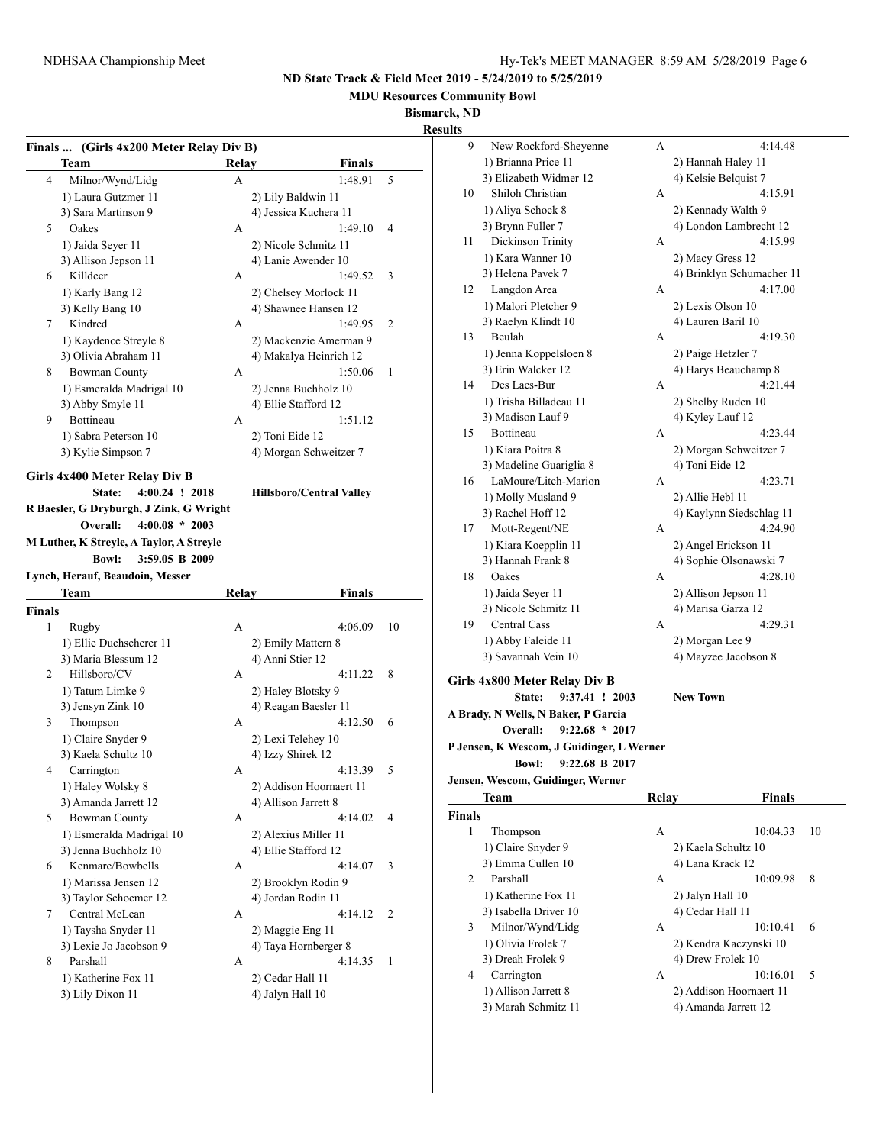9 New Rockford-Sheyenne A 4:14.48 1) Brianna Price 11 2) Hannah Haley 11

**ND State Track & Field Meet 2019 - 5/24/2019 to 5/25/2019**

**MDU Resources Community Bowl**

**Bismarck, ND**

|                                                                                    |       |                             | Bismarck, l<br><b>Results</b> |
|------------------------------------------------------------------------------------|-------|-----------------------------|-------------------------------|
| Finals  (Girls 4x200 Meter Relay Div B)<br>Team                                    | Relay | Finals                      |                               |
| 4<br>Milnor/Wynd/Lidg                                                              | A     | 1:48.91                     | 5                             |
| 1) Laura Gutzmer 11                                                                |       | 2) Lily Baldwin 11          |                               |
| 3) Sara Martinson 9                                                                |       | 4) Jessica Kuchera 11       |                               |
| 5<br>Oakes                                                                         | А     | 1:49.10                     | 4                             |
| 1) Jaida Seyer 11                                                                  |       | 2) Nicole Schmitz 11        |                               |
| 3) Allison Jepson 11                                                               |       | 4) Lanie Awender 10         |                               |
| Killdeer<br>6                                                                      | А     | 1:49.52                     | 3                             |
| 1) Karly Bang 12                                                                   |       | 2) Chelsey Morlock 11       |                               |
| 3) Kelly Bang 10                                                                   |       | 4) Shawnee Hansen 12        |                               |
| Kindred<br>7                                                                       |       | 1:49.95                     | 2                             |
|                                                                                    | А     |                             |                               |
| 1) Kaydence Streyle 8                                                              |       | 2) Mackenzie Amerman 9      |                               |
| 3) Olivia Abraham 11                                                               |       | 4) Makalya Heinrich 12      |                               |
| <b>Bowman County</b><br>8                                                          | A     | 1:50.06                     | 1                             |
| 1) Esmeralda Madrigal 10                                                           |       | 2) Jenna Buchholz 10        |                               |
| 3) Abby Smyle 11                                                                   |       | 4) Ellie Stafford 12        |                               |
| Bottineau<br>9                                                                     | А     | 1:51.12                     |                               |
| 1) Sabra Peterson 10                                                               |       | 2) Toni Eide 12             |                               |
| 3) Kylie Simpson 7                                                                 |       | 4) Morgan Schweitzer 7      |                               |
| Overall:<br>$4:00.08 * 2003$<br>M Luther, K Streyle, A Taylor, A Streyle           |       |                             |                               |
| 3:59.05 B 2009<br><b>Bowl:</b>                                                     |       |                             |                               |
| Team                                                                               | Relay | Finals                      |                               |
|                                                                                    |       |                             |                               |
| 1<br>Rugby                                                                         | A     | 4:06.09                     | 10                            |
| 1) Ellie Duchscherer 11                                                            |       | 2) Emily Mattern 8          |                               |
| 3) Maria Blessum 12                                                                |       | 4) Anni Stier 12            |                               |
| Hillsboro/CV<br>2                                                                  | A     | 4:11.22                     | 8                             |
| 1) Tatum Limke 9                                                                   |       | 2) Haley Blotsky 9          |                               |
| 3) Jensyn Zink 10                                                                  |       | 4) Reagan Baesler 11        |                               |
| Thompson<br>3                                                                      | A     | 4:12.50                     | 6                             |
| 1) Claire Snyder 9                                                                 |       | 2) Lexi Telehey 10          |                               |
| 3) Kaela Schultz 10                                                                |       | 4) Izzy Shirek 12           |                               |
| Carrington<br>4                                                                    | А     | 4:13.39                     | 5                             |
| 1) Haley Wolsky 8                                                                  |       | 2) Addison Hoornaert 11     |                               |
| 3) Amanda Jarrett 12                                                               |       | 4) Allison Jarrett 8        |                               |
| <b>Bowman County</b><br>5                                                          | А     | 4:14.02                     | 4                             |
| 1) Esmeralda Madrigal 10                                                           |       | 2) Alexius Miller 11        |                               |
| 3) Jenna Buchholz 10                                                               |       | 4) Ellie Stafford 12        |                               |
| Kenmare/Bowbells<br>6                                                              | А     | 4:14.07                     | 3                             |
|                                                                                    |       |                             |                               |
| 1) Marissa Jensen 12                                                               |       | 2) Brooklyn Rodin 9         |                               |
| 3) Taylor Schoemer 12<br>7                                                         |       | 4) Jordan Rodin 11          |                               |
| Lynch, Herauf, Beaudoin, Messer<br>Finals<br>Central McLean<br>1) Taysha Snyder 11 | А     | 4:14.12<br>2) Maggie Eng 11 | 2                             |

8 Parshall A 4:14.35 1 1) Katherine Fox 11 2) Cedar Hall 11 3) Lily Dixon 11 4) Jalyn Hall 10

|               | 3) Elizabeth Widmer 12                    |       | 4) Kelsie Belquist 7      |
|---------------|-------------------------------------------|-------|---------------------------|
| 10            | Shiloh Christian                          | A     | 4:15.91                   |
|               | 1) Aliya Schock 8                         |       | 2) Kennady Walth 9        |
|               | 3) Brynn Fuller 7                         |       | 4) London Lambrecht 12    |
| 11            | Dickinson Trinity                         | А     | 4:15.99                   |
|               | 1) Kara Wanner 10                         |       | 2) Macy Gress 12          |
|               | 3) Helena Pavek 7                         |       | 4) Brinklyn Schumacher 11 |
| 12            | Langdon Area                              | A     | 4:17.00                   |
|               | 1) Malori Pletcher 9                      |       | 2) Lexis Olson 10         |
|               | 3) Raelyn Klindt 10                       |       | 4) Lauren Baril 10        |
| 13            | Beulah                                    | A     | 4:19.30                   |
|               | 1) Jenna Koppelsloen 8                    |       | 2) Paige Hetzler 7        |
|               | 3) Erin Walcker 12                        |       | 4) Harys Beauchamp 8      |
| 14            | Des Lacs-Bur                              | А     | 4:21.44                   |
|               | 1) Trisha Billadeau 11                    |       | 2) Shelby Ruden 10        |
|               | 3) Madison Lauf 9                         |       | 4) Kyley Lauf 12          |
| 15            | Bottineau                                 | А     | 4:23.44                   |
|               | 1) Kiara Poitra 8                         |       | 2) Morgan Schweitzer 7    |
|               | 3) Madeline Guariglia 8                   |       | 4) Toni Eide 12           |
| 16            | LaMoure/Litch-Marion                      | А     | 4:23.71                   |
|               | 1) Molly Musland 9                        |       | 2) Allie Hebl 11          |
|               | 3) Rachel Hoff 12                         |       | 4) Kaylynn Siedschlag 11  |
| 17            | Mott-Regent/NE                            | А     | 4:24.90                   |
|               | 1) Kiara Koepplin 11                      |       | 2) Angel Erickson 11      |
|               | 3) Hannah Frank 8                         |       | 4) Sophie Olsonawski 7    |
| 18            | Oakes                                     | A     | 4:28.10                   |
|               | 1) Jaida Seyer 11                         |       | 2) Allison Jepson 11      |
|               | 3) Nicole Schmitz 11                      |       | 4) Marisa Garza 12        |
| 19            | <b>Central Cass</b>                       | А     | 4:29.31                   |
|               | 1) Abby Faleide 11                        |       | 2) Morgan Lee 9           |
|               | 3) Savannah Vein 10                       |       | 4) Mayzee Jacobson 8      |
|               | Girls 4x800 Meter Relay Div B             |       |                           |
|               | 9:37.41 ! 2003<br>State:                  |       | <b>New Town</b>           |
|               | A Brady, N Wells, N Baker, P Garcia       |       |                           |
|               | $9:22.68 * 2017$<br>Overall:              |       |                           |
|               | P Jensen, K Wescom, J Guidinger, L Werner |       |                           |
|               | 9:22.68 B 2017<br><b>Bowl:</b>            |       |                           |
|               | Jensen, Wescom, Guidinger, Werner         |       |                           |
|               | Team                                      | Relay | Finals                    |
| <b>Finals</b> |                                           |       |                           |
| 1             | Thompson                                  | А     | 10:04.33                  |

|               | Team                  | Relav               | Finals                  |    |
|---------------|-----------------------|---------------------|-------------------------|----|
| <b>Finals</b> |                       |                     |                         |    |
| 1             | Thompson              | A                   | 10:04.33                | 10 |
|               | 1) Claire Snyder 9    | 2) Kaela Schultz 10 |                         |    |
|               | 3) Emma Cullen 10     | 4) Lana Krack 12    |                         |    |
| 2             | Parshall              | A                   | 10:09.98<br>8           |    |
|               | 1) Katherine Fox 11   | 2) Jalyn Hall 10    |                         |    |
|               | 3) Isabella Driver 10 | 4) Cedar Hall 11    |                         |    |
| 3             | Milnor/Wynd/Lidg      | А                   | 10:10.41<br>6           |    |
|               | 1) Olivia Frolek 7    |                     | 2) Kendra Kaczynski 10  |    |
|               | 3) Dreah Frolek 9     | 4) Drew Frolek 10   |                         |    |
| 4             | Carrington            | A                   | 10:16.01<br>5           |    |
|               | 1) Allison Jarrett 8  |                     | 2) Addison Hoornaert 11 |    |
|               |                       |                     |                         |    |

3) Marah Schmitz 11 4) Amanda Jarrett 12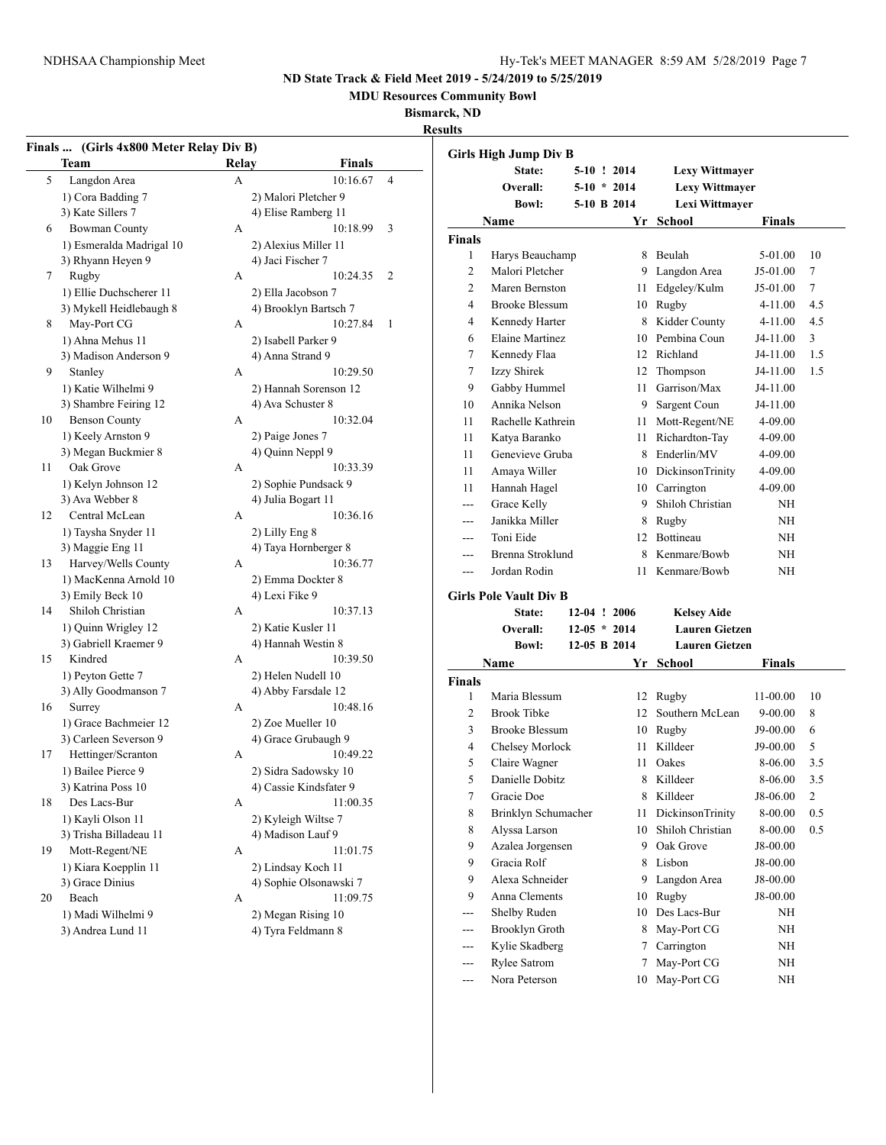**MDU Resources Community Bowl**

### **Bismarck, ND**

**Results**

|    | Team                     | Relay        | Finals                 |                |                  | <b>Girls High Jump Div B</b>  |              |
|----|--------------------------|--------------|------------------------|----------------|------------------|-------------------------------|--------------|
| 5  | Langdon Area             | $\mathbf{A}$ | 10:16.67               | $\overline{4}$ |                  | State:<br>Overall:            | $5-$<br>$5-$ |
|    | 1) Cora Badding 7        |              | 2) Malori Pletcher 9   |                |                  | <b>Bowl:</b>                  | $5-$         |
|    | 3) Kate Sillers 7        |              | 4) Elise Ramberg 11    |                |                  |                               |              |
| 6  | <b>Bowman County</b>     | A            | 10:18.99               | 3              |                  | Name                          |              |
|    | 1) Esmeralda Madrigal 10 |              | 2) Alexius Miller 11   |                | <b>Finals</b>    |                               |              |
|    | 3) Rhyann Heyen 9        |              | 4) Jaci Fischer 7      |                | 1                | Harys Beauchamp               |              |
| 7  | Rugby                    | A            | 10:24.35               | $\overline{c}$ | $\overline{c}$   | Malori Pletcher               |              |
|    | 1) Ellie Duchscherer 11  |              | 2) Ella Jacobson 7     |                | $\overline{c}$   | Maren Bernston                |              |
|    | 3) Mykell Heidlebaugh 8  |              | 4) Brooklyn Bartsch 7  |                | 4                | <b>Brooke Blessum</b>         |              |
| 8  | May-Port CG              | A            | 10:27.84               | $\mathbf{1}$   | 4                | Kennedy Harter                |              |
|    | 1) Ahna Mehus 11         |              | 2) Isabell Parker 9    |                | 6                | <b>Elaine Martinez</b>        |              |
|    | 3) Madison Anderson 9    |              | 4) Anna Strand 9       |                | $\tau$           | Kennedy Flaa                  |              |
| 9  | Stanley                  | A            | 10:29.50               |                | $\boldsymbol{7}$ | Izzy Shirek                   |              |
|    | 1) Katie Wilhelmi 9      |              | 2) Hannah Sorenson 12  |                | 9                | Gabby Hummel                  |              |
|    | 3) Shambre Feiring 12    |              | 4) Ava Schuster 8      |                | 10               | Annika Nelson                 |              |
| 10 | <b>Benson County</b>     | A            | 10:32.04               |                | 11               | Rachelle Kathrein             |              |
|    | 1) Keely Arnston 9       |              | 2) Paige Jones 7       |                | 11               | Katya Baranko                 |              |
|    | 3) Megan Buckmier 8      |              | 4) Quinn Neppl 9       |                | 11               | Genevieve Gruba               |              |
| 11 | Oak Grove                | A            | 10:33.39               |                | 11               | Amaya Willer                  |              |
|    | 1) Kelyn Johnson 12      |              | 2) Sophie Pundsack 9   |                |                  |                               |              |
|    | 3) Ava Webber 8          |              | 4) Julia Bogart 11     |                | 11               | Hannah Hagel                  |              |
| 12 | Central McLean           | A            | 10:36.16               |                | ---              | Grace Kelly                   |              |
|    | 1) Taysha Snyder 11      |              | 2) Lilly Eng 8         |                | $---$            | Janikka Miller                |              |
|    | 3) Maggie Eng 11         |              | 4) Taya Hornberger 8   |                | $---$            | Toni Eide                     |              |
| 13 | Harvey/Wells County      | А            | 10:36.77               |                | $---$            | Brenna Stroklund              |              |
|    | 1) MacKenna Arnold 10    |              | 2) Emma Dockter 8      |                | ---              | Jordan Rodin                  |              |
|    | 3) Emily Beck 10         |              | 4) Lexi Fike 9         |                |                  | <b>Girls Pole Vault Div B</b> |              |
| 14 | Shiloh Christian         | А            | 10:37.13               |                |                  | State:                        | $12-$        |
|    | 1) Quinn Wrigley 12      |              | 2) Katie Kusler 11     |                |                  | Overall:                      | $12-$        |
|    | 3) Gabriell Kraemer 9    |              | 4) Hannah Westin 8     |                |                  | <b>Bowl:</b>                  | $12-$        |
| 15 | Kindred                  | A            | 10:39.50               |                |                  |                               |              |
|    | 1) Peyton Gette 7        |              | 2) Helen Nudell 10     |                |                  | Name                          |              |
|    | 3) Ally Goodmanson 7     |              | 4) Abby Farsdale 12    |                | <b>Finals</b>    |                               |              |
| 16 | Surrey                   | A            | 10:48.16               |                | 1                | Maria Blessum                 |              |
|    | 1) Grace Bachmeier 12    |              | 2) Zoe Mueller 10      |                | $\overline{c}$   | <b>Brook Tibke</b>            |              |
|    | 3) Carleen Severson 9    |              | 4) Grace Grubaugh 9    |                | 3                | <b>Brooke Blessum</b>         |              |
| 17 | Hettinger/Scranton       | А            | 10:49.22               |                | 4                | Chelsey Morlock               |              |
|    |                          |              |                        |                | 5                | Claire Wagner                 |              |
|    | 1) Bailee Pierce 9       |              | 2) Sidra Sadowsky 10   |                | 5                | Danielle Dobitz               |              |
|    | 3) Katrina Poss 10       |              | 4) Cassie Kindsfater 9 |                | $\boldsymbol{7}$ | Gracie Doe                    |              |
| 18 | Des Lacs-Bur             | А            | 11:00.35               |                | 8                | Brinklyn Schumach             |              |
|    | 1) Kayli Olson 11        |              | 2) Kyleigh Wiltse 7    |                | 8                | Alyssa Larson                 |              |
|    | 3) Trisha Billadeau 11   |              | 4) Madison Lauf 9      |                | 9                | Azalea Jorgensen              |              |
| 19 | Mott-Regent/NE           | А            | 11:01.75               |                | 9                | Gracia Rolf                   |              |
|    | 1) Kiara Koepplin 11     |              | 2) Lindsay Koch 11     |                | 9                | Alexa Schneider               |              |
|    | 3) Grace Dinius          |              | 4) Sophie Olsonawski 7 |                | 9                | Anna Clements                 |              |
| 20 | Beach                    | A            | 11:09.75               |                |                  |                               |              |
|    | 1) Madi Wilhelmi 9       |              | 2) Megan Rising 10     |                | ---              | Shelby Ruden                  |              |
|    | 3) Andrea Lund 11        |              | 4) Tyra Feldmann 8     |                | ---              | Brooklyn Groth                |              |
|    |                          |              |                        |                |                  |                               |              |

|                | <b>Girls High Jump Div B</b>  |  |                  |                         |               |     |
|----------------|-------------------------------|--|------------------|-------------------------|---------------|-----|
|                | State:                        |  | $5-10$ ! 2014    | <b>Lexy Wittmayer</b>   |               |     |
|                | Overall:                      |  | $5-10 * 2014$    | <b>Lexy Wittmayer</b>   |               |     |
|                | <b>Bowl:</b>                  |  | 5-10 B 2014      | Lexi Wittmayer          |               |     |
|                | Name                          |  | Yr               | School                  | <b>Finals</b> |     |
| Finals         |                               |  |                  |                         |               |     |
| 1              | Harys Beauchamp               |  | 8                | Beulah                  | 5-01.00       | 10  |
| $\overline{c}$ | Malori Pletcher               |  |                  | 9 Langdon Area          | J5-01.00      | 7   |
| 2              | Maren Bernston                |  | 11               | Edgeley/Kulm            | J5-01.00      | 7   |
| 4              | <b>Brooke Blessum</b>         |  |                  | 10 Rugby                | 4-11.00       | 4.5 |
| 4              | Kennedy Harter                |  | 8                | Kidder County           | 4-11.00       | 4.5 |
| 6              | <b>Elaine Martinez</b>        |  | 10               | Pembina Coun            | J4-11.00      | 3   |
| 7              | Kennedy Flaa                  |  |                  | 12 Richland             | J4-11.00      | 1.5 |
| 7              | Izzy Shirek                   |  | 12               | Thompson                | J4-11.00      | 1.5 |
| 9              | Gabby Hummel                  |  | 11               | Garrison/Max            | J4-11.00      |     |
| 10             | Annika Nelson                 |  |                  | 9 Sargent Coun          | J4-11.00      |     |
| 11             | Rachelle Kathrein             |  |                  | 11 Mott-Regent/NE       | 4-09.00       |     |
| 11             | Katya Baranko                 |  |                  | 11 Richardton-Tay       | 4-09.00       |     |
| 11             | Genevieve Gruba               |  |                  | 8 Enderlin/MV           | 4-09.00       |     |
| 11             | Amaya Willer                  |  |                  | 10 DickinsonTrinity     | 4-09.00       |     |
| 11             | Hannah Hagel                  |  |                  | 10 Carrington           | 4-09.00       |     |
| ---            | Grace Kelly                   |  |                  | 9 Shiloh Christian      | NΗ            |     |
| ---            | Janikka Miller                |  | 8                | Rugby                   | NΗ            |     |
| ---            | Toni Eide                     |  | 12               | <b>Bottineau</b>        | NΗ            |     |
| $-$ --         | Brenna Stroklund              |  | 8                | Kenmare/Bowb            | ΝH            |     |
|                | Jordan Rodin                  |  | 11               | Kenmare/Bowb            | NΗ            |     |
|                | <b>Girls Pole Vault Div B</b> |  |                  |                         |               |     |
|                | State:                        |  | $12-04$ ! 2006   | <b>Kelsey Aide</b>      |               |     |
|                | Overall:                      |  | $12-05 * 2014$   | <b>Lauren Gietzen</b>   |               |     |
|                | <b>Bowl:</b>                  |  | 12-05 B 2014     | <b>Lauren Gietzen</b>   |               |     |
|                | Name                          |  | Yr               | School                  | <b>Finals</b> |     |
| Finals         |                               |  |                  |                         |               |     |
| 1              | Maria Blessum                 |  | 12               | Rugby                   | 11-00.00      | 10  |
| 2              | <b>Brook Tibke</b>            |  | 12 <sup>12</sup> | Southern McLean         | 9-00.00       | 8   |
| 3              | <b>Brooke Blessum</b>         |  | 10               | Rugby                   | J9-00.00      | 6   |
| 4              | Chelsey Morlock               |  | 11               | Killdeer                | J9-00.00      | 5   |
| 5              | Claire Wagner                 |  | 11               | Oakes                   | 8-06.00       | 3.5 |
| 5              | Danielle Dobitz               |  | 8                | Killdeer                | 8-06.00       | 3.5 |
| 7              | Gracie Doe                    |  | 8                | Killdeer                | J8-06.00      | 2   |
| 8              | Brinklyn Schumacher           |  | 11               | <b>DickinsonTrinity</b> | 8-00.00       | 0.5 |
| 8              | Alyssa Larson                 |  | 10               | Shiloh Christian        | 8-00.00       | 0.5 |
| 9              | Azalea Jorgensen              |  | 9                | Oak Grove               | J8-00.00      |     |
| 9              | Gracia Rolf                   |  | 8                | Lisbon                  | J8-00.00      |     |
| 9              | Alexa Schneider               |  | 9                | Langdon Area            | J8-00.00      |     |
| 9              | Anna Clements                 |  | 10               | Rugby                   | J8-00.00      |     |
| ---            | Shelby Ruden                  |  | 10               | Des Lacs-Bur            | NΗ            |     |
| ---            | Brooklyn Groth                |  | 8                | May-Port CG             | NΗ            |     |
| ---            | Kylie Skadberg                |  | 7                | Carrington              | NΗ            |     |
| ---            | Rylee Satrom                  |  | 7                | May-Port CG             | NΗ            |     |
| ---            | Nora Peterson                 |  | 10               | May-Port CG             | NΗ            |     |
|                |                               |  |                  |                         |               |     |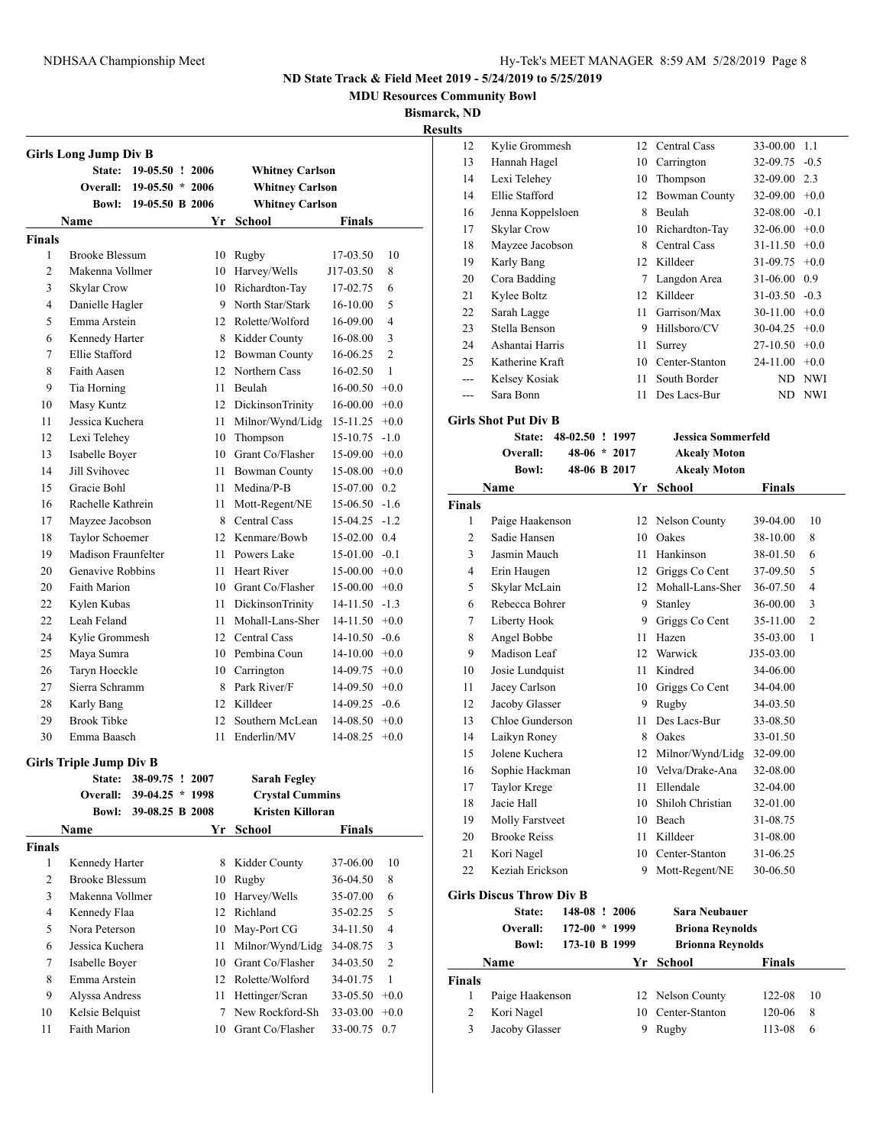**MDU Resources Community Bowl**

**Bismarck, ND**

| <b>Whitney Carlson</b><br><b>Whitney Carlson</b><br><b>Whitney Carlson</b><br>Yr School<br>Rugby<br>Harvey/Wells<br>Richardton-Tay<br>9 North Star/Stark<br>12 Rolette/Wolford<br>8 Kidder County<br>12 Bowman County<br>12 Northern Cass<br>Beulah<br>12 DickinsonTrinity<br>Milnor/Wynd/Lidg<br>10 Thompson<br>10 Grant Co/Flasher<br>Bowman County | <b>Finals</b><br>17-03.50<br>J17-03.50<br>17-02.75<br>16-10.00<br>16-09.00<br>16-08.00<br>16-06.25<br>16-02.50<br>$16-00.50 +0.0$<br>$16-00.00 + 0.0$<br>$15-11.25$ +0.0<br>$15-10.75 -1.0$<br>$15-09.00 +0.0$                                                                                                                                                                                                           | 10<br>8<br>6<br>5<br>$\overline{4}$<br>3<br>$\overline{c}$<br>1                                                                                                                                                                                                                                                                                                                                                       |
|-------------------------------------------------------------------------------------------------------------------------------------------------------------------------------------------------------------------------------------------------------------------------------------------------------------------------------------------------------|--------------------------------------------------------------------------------------------------------------------------------------------------------------------------------------------------------------------------------------------------------------------------------------------------------------------------------------------------------------------------------------------------------------------------|-----------------------------------------------------------------------------------------------------------------------------------------------------------------------------------------------------------------------------------------------------------------------------------------------------------------------------------------------------------------------------------------------------------------------|
|                                                                                                                                                                                                                                                                                                                                                       |                                                                                                                                                                                                                                                                                                                                                                                                                          |                                                                                                                                                                                                                                                                                                                                                                                                                       |
|                                                                                                                                                                                                                                                                                                                                                       |                                                                                                                                                                                                                                                                                                                                                                                                                          |                                                                                                                                                                                                                                                                                                                                                                                                                       |
|                                                                                                                                                                                                                                                                                                                                                       |                                                                                                                                                                                                                                                                                                                                                                                                                          |                                                                                                                                                                                                                                                                                                                                                                                                                       |
|                                                                                                                                                                                                                                                                                                                                                       |                                                                                                                                                                                                                                                                                                                                                                                                                          |                                                                                                                                                                                                                                                                                                                                                                                                                       |
|                                                                                                                                                                                                                                                                                                                                                       |                                                                                                                                                                                                                                                                                                                                                                                                                          |                                                                                                                                                                                                                                                                                                                                                                                                                       |
|                                                                                                                                                                                                                                                                                                                                                       |                                                                                                                                                                                                                                                                                                                                                                                                                          |                                                                                                                                                                                                                                                                                                                                                                                                                       |
|                                                                                                                                                                                                                                                                                                                                                       |                                                                                                                                                                                                                                                                                                                                                                                                                          |                                                                                                                                                                                                                                                                                                                                                                                                                       |
|                                                                                                                                                                                                                                                                                                                                                       |                                                                                                                                                                                                                                                                                                                                                                                                                          |                                                                                                                                                                                                                                                                                                                                                                                                                       |
|                                                                                                                                                                                                                                                                                                                                                       |                                                                                                                                                                                                                                                                                                                                                                                                                          |                                                                                                                                                                                                                                                                                                                                                                                                                       |
|                                                                                                                                                                                                                                                                                                                                                       |                                                                                                                                                                                                                                                                                                                                                                                                                          |                                                                                                                                                                                                                                                                                                                                                                                                                       |
|                                                                                                                                                                                                                                                                                                                                                       |                                                                                                                                                                                                                                                                                                                                                                                                                          |                                                                                                                                                                                                                                                                                                                                                                                                                       |
|                                                                                                                                                                                                                                                                                                                                                       |                                                                                                                                                                                                                                                                                                                                                                                                                          |                                                                                                                                                                                                                                                                                                                                                                                                                       |
|                                                                                                                                                                                                                                                                                                                                                       |                                                                                                                                                                                                                                                                                                                                                                                                                          |                                                                                                                                                                                                                                                                                                                                                                                                                       |
|                                                                                                                                                                                                                                                                                                                                                       |                                                                                                                                                                                                                                                                                                                                                                                                                          |                                                                                                                                                                                                                                                                                                                                                                                                                       |
|                                                                                                                                                                                                                                                                                                                                                       |                                                                                                                                                                                                                                                                                                                                                                                                                          |                                                                                                                                                                                                                                                                                                                                                                                                                       |
|                                                                                                                                                                                                                                                                                                                                                       |                                                                                                                                                                                                                                                                                                                                                                                                                          |                                                                                                                                                                                                                                                                                                                                                                                                                       |
|                                                                                                                                                                                                                                                                                                                                                       |                                                                                                                                                                                                                                                                                                                                                                                                                          |                                                                                                                                                                                                                                                                                                                                                                                                                       |
|                                                                                                                                                                                                                                                                                                                                                       |                                                                                                                                                                                                                                                                                                                                                                                                                          |                                                                                                                                                                                                                                                                                                                                                                                                                       |
|                                                                                                                                                                                                                                                                                                                                                       |                                                                                                                                                                                                                                                                                                                                                                                                                          |                                                                                                                                                                                                                                                                                                                                                                                                                       |
|                                                                                                                                                                                                                                                                                                                                                       | $15-08.00 +0.0$                                                                                                                                                                                                                                                                                                                                                                                                          |                                                                                                                                                                                                                                                                                                                                                                                                                       |
| Medina/P-B                                                                                                                                                                                                                                                                                                                                            | 15-07.00 0.2                                                                                                                                                                                                                                                                                                                                                                                                             |                                                                                                                                                                                                                                                                                                                                                                                                                       |
|                                                                                                                                                                                                                                                                                                                                                       | $15-06.50 -1.6$                                                                                                                                                                                                                                                                                                                                                                                                          |                                                                                                                                                                                                                                                                                                                                                                                                                       |
| 8 Central Cass                                                                                                                                                                                                                                                                                                                                        | $15-04.25 -1.2$                                                                                                                                                                                                                                                                                                                                                                                                          |                                                                                                                                                                                                                                                                                                                                                                                                                       |
| 12 Kenmare/Bowb                                                                                                                                                                                                                                                                                                                                       | 15-02.00 0.4                                                                                                                                                                                                                                                                                                                                                                                                             |                                                                                                                                                                                                                                                                                                                                                                                                                       |
|                                                                                                                                                                                                                                                                                                                                                       | $15-01.00 -0.1$                                                                                                                                                                                                                                                                                                                                                                                                          |                                                                                                                                                                                                                                                                                                                                                                                                                       |
| Heart River                                                                                                                                                                                                                                                                                                                                           |                                                                                                                                                                                                                                                                                                                                                                                                                          |                                                                                                                                                                                                                                                                                                                                                                                                                       |
| 10 Grant Co/Flasher                                                                                                                                                                                                                                                                                                                                   | $15-00.00 + 0.0$                                                                                                                                                                                                                                                                                                                                                                                                         |                                                                                                                                                                                                                                                                                                                                                                                                                       |
|                                                                                                                                                                                                                                                                                                                                                       |                                                                                                                                                                                                                                                                                                                                                                                                                          |                                                                                                                                                                                                                                                                                                                                                                                                                       |
|                                                                                                                                                                                                                                                                                                                                                       |                                                                                                                                                                                                                                                                                                                                                                                                                          |                                                                                                                                                                                                                                                                                                                                                                                                                       |
|                                                                                                                                                                                                                                                                                                                                                       |                                                                                                                                                                                                                                                                                                                                                                                                                          |                                                                                                                                                                                                                                                                                                                                                                                                                       |
|                                                                                                                                                                                                                                                                                                                                                       |                                                                                                                                                                                                                                                                                                                                                                                                                          |                                                                                                                                                                                                                                                                                                                                                                                                                       |
|                                                                                                                                                                                                                                                                                                                                                       |                                                                                                                                                                                                                                                                                                                                                                                                                          |                                                                                                                                                                                                                                                                                                                                                                                                                       |
| 8 Park River/F                                                                                                                                                                                                                                                                                                                                        |                                                                                                                                                                                                                                                                                                                                                                                                                          |                                                                                                                                                                                                                                                                                                                                                                                                                       |
|                                                                                                                                                                                                                                                                                                                                                       |                                                                                                                                                                                                                                                                                                                                                                                                                          |                                                                                                                                                                                                                                                                                                                                                                                                                       |
|                                                                                                                                                                                                                                                                                                                                                       |                                                                                                                                                                                                                                                                                                                                                                                                                          |                                                                                                                                                                                                                                                                                                                                                                                                                       |
|                                                                                                                                                                                                                                                                                                                                                       |                                                                                                                                                                                                                                                                                                                                                                                                                          |                                                                                                                                                                                                                                                                                                                                                                                                                       |
|                                                                                                                                                                                                                                                                                                                                                       |                                                                                                                                                                                                                                                                                                                                                                                                                          |                                                                                                                                                                                                                                                                                                                                                                                                                       |
|                                                                                                                                                                                                                                                                                                                                                       |                                                                                                                                                                                                                                                                                                                                                                                                                          |                                                                                                                                                                                                                                                                                                                                                                                                                       |
|                                                                                                                                                                                                                                                                                                                                                       |                                                                                                                                                                                                                                                                                                                                                                                                                          |                                                                                                                                                                                                                                                                                                                                                                                                                       |
|                                                                                                                                                                                                                                                                                                                                                       |                                                                                                                                                                                                                                                                                                                                                                                                                          |                                                                                                                                                                                                                                                                                                                                                                                                                       |
|                                                                                                                                                                                                                                                                                                                                                       |                                                                                                                                                                                                                                                                                                                                                                                                                          |                                                                                                                                                                                                                                                                                                                                                                                                                       |
|                                                                                                                                                                                                                                                                                                                                                       |                                                                                                                                                                                                                                                                                                                                                                                                                          |                                                                                                                                                                                                                                                                                                                                                                                                                       |
|                                                                                                                                                                                                                                                                                                                                                       |                                                                                                                                                                                                                                                                                                                                                                                                                          | 10                                                                                                                                                                                                                                                                                                                                                                                                                    |
|                                                                                                                                                                                                                                                                                                                                                       |                                                                                                                                                                                                                                                                                                                                                                                                                          | 8                                                                                                                                                                                                                                                                                                                                                                                                                     |
|                                                                                                                                                                                                                                                                                                                                                       |                                                                                                                                                                                                                                                                                                                                                                                                                          | 6                                                                                                                                                                                                                                                                                                                                                                                                                     |
|                                                                                                                                                                                                                                                                                                                                                       |                                                                                                                                                                                                                                                                                                                                                                                                                          | 5                                                                                                                                                                                                                                                                                                                                                                                                                     |
|                                                                                                                                                                                                                                                                                                                                                       |                                                                                                                                                                                                                                                                                                                                                                                                                          | 4                                                                                                                                                                                                                                                                                                                                                                                                                     |
|                                                                                                                                                                                                                                                                                                                                                       |                                                                                                                                                                                                                                                                                                                                                                                                                          | 3                                                                                                                                                                                                                                                                                                                                                                                                                     |
|                                                                                                                                                                                                                                                                                                                                                       |                                                                                                                                                                                                                                                                                                                                                                                                                          | $\overline{c}$                                                                                                                                                                                                                                                                                                                                                                                                        |
|                                                                                                                                                                                                                                                                                                                                                       |                                                                                                                                                                                                                                                                                                                                                                                                                          | 1                                                                                                                                                                                                                                                                                                                                                                                                                     |
|                                                                                                                                                                                                                                                                                                                                                       |                                                                                                                                                                                                                                                                                                                                                                                                                          |                                                                                                                                                                                                                                                                                                                                                                                                                       |
|                                                                                                                                                                                                                                                                                                                                                       |                                                                                                                                                                                                                                                                                                                                                                                                                          |                                                                                                                                                                                                                                                                                                                                                                                                                       |
|                                                                                                                                                                                                                                                                                                                                                       |                                                                                                                                                                                                                                                                                                                                                                                                                          |                                                                                                                                                                                                                                                                                                                                                                                                                       |
|                                                                                                                                                                                                                                                                                                                                                       | Mott-Regent/NE<br>11 Powers Lake<br><b>DickinsonTrinity</b><br>Mohall-Lans-Sher<br>12 Central Cass<br>10 Pembina Coun<br>Carrington<br>12 Killdeer<br>Southern McLean<br>Enderlin/MV<br><b>Sarah Fegley</b><br>Yr School<br>Kidder County<br>Rugby<br>Harvey/Wells<br>Richland<br>May-Port CG<br>Milnor/Wynd/Lidg<br>Grant Co/Flasher<br>12 Rolette/Wolford<br>Hettinger/Scran<br>New Rockford-Sh<br>10 Grant Co/Flasher | $15-00.00 + 0.0$<br>$14 - 11.50 - 1.3$<br>$14-11.50 +0.0$<br>$14-10.50 -0.6$<br>$14-10.00 +0.0$<br>$14-09.75$ $+0.0$<br>$14-09.50 +0.0$<br>$14-09.25 -0.6$<br>$14-08.50 +0.0$<br>$14-08.25 +0.0$<br><b>Crystal Cummins</b><br>Kristen Killoran<br><b>Finals</b><br>37-06.00<br>36-04.50<br>35-07.00<br>35-02.25<br>34-11.50<br>34-08.75<br>34-03.50<br>34-01.75<br>$33-05.50 +0.0$<br>$33-03.00 +0.0$<br>33-00.75 0.7 |

| 12             | Kylie Grommesh                  |                 |                | 12   | Central Cass              | 33-00.00      | 1.1            |
|----------------|---------------------------------|-----------------|----------------|------|---------------------------|---------------|----------------|
| 13             | Hannah Hagel                    |                 |                | 10   | Carrington                | 32-09.75      | $-0.5$         |
| 14             | Lexi Telehey                    |                 |                | 10   | Thompson                  | 32-09.00      | 2.3            |
| 14             | Ellie Stafford                  |                 |                | 12   | <b>Bowman County</b>      | 32-09.00      | $+0.0$         |
| 16             | Jenna Koppelsloen               |                 |                |      | 8 Beulah                  | 32-08.00      | $-0.1$         |
| 17             | <b>Skylar Crow</b>              |                 |                |      | 10 Richardton-Tay         | 32-06.00      | $+0.0$         |
| 18             | Mayzee Jacobson                 |                 |                | 8    | Central Cass              | 31-11.50      | $+0.0$         |
| 19             | Karly Bang                      |                 |                |      | 12 Killdeer               | 31-09.75      | $+0.0$         |
| 20             | Cora Badding                    |                 |                | 7    | Langdon Area              | 31-06.00      | 0.9            |
| 21             | Kylee Boltz                     |                 |                | 12   | Killdeer                  | 31-03.50      | $-0.3$         |
| 22             | Sarah Lagge                     |                 |                | 11 - | Garrison/Max              | 30-11.00      | $+0.0$         |
| 23             | Stella Benson                   |                 |                |      | 9 Hillsboro/CV            | 30-04.25      | $+0.0$         |
| 24             | Ashantai Harris                 |                 |                | 11   | Surrey                    | 27-10.50      | $+0.0$         |
| 25             | Katherine Kraft                 |                 |                | 10   | Center-Stanton            | 24-11.00      | $+0.0$         |
| $---$          | Kelsey Kosiak                   |                 |                | 11   | South Border              | ND            | NWI            |
| ---            | Sara Bonn                       |                 |                | 11   | Des Lacs-Bur              | ND            | <b>NWI</b>     |
|                | <b>Girls Shot Put Div B</b>     |                 |                |      |                           |               |                |
|                | <b>State:</b>                   | 48-02.50 ! 1997 |                |      | <b>Jessica Sommerfeld</b> |               |                |
|                | <b>Overall:</b>                 |                 | $48-06 * 2017$ |      | <b>Akealy Moton</b>       |               |                |
|                | <b>Bowl:</b>                    |                 | 48-06 B 2017   |      | <b>Akealy Moton</b>       |               |                |
|                | Name                            |                 |                |      | Yr School                 | <b>Finals</b> |                |
| <b>Finals</b>  |                                 |                 |                |      |                           |               |                |
| 1              | Paige Haakenson                 |                 |                | 12   | Nelson County             | 39-04.00      | 10             |
| 2              | Sadie Hansen                    |                 |                | 10   | Oakes                     | 38-10.00      | 8              |
| 3              | Jasmin Mauch                    |                 |                | 11   | Hankinson                 | 38-01.50      | 6              |
| 4              | Erin Haugen                     |                 |                | 12   | Griggs Co Cent            | 37-09.50      | 5              |
| 5              | Skylar McLain                   |                 |                |      | 12 Mohall-Lans-Sher       | 36-07.50      | 4              |
| 6              | Rebecca Bohrer                  |                 |                | 9    | Stanley                   | 36-00.00      | 3              |
| $\tau$         | Liberty Hook                    |                 |                | 9    | Griggs Co Cent            | 35-11.00      | $\overline{2}$ |
| 8              | Angel Bobbe                     |                 |                | 11   | Hazen                     | 35-03.00      | 1              |
| 9              | Madison Leaf                    |                 |                |      | 12 Warwick                | J35-03.00     |                |
| 10             | Josie Lundquist                 |                 |                | 11   | Kindred                   | 34-06.00      |                |
| 11             | Jacey Carlson                   |                 |                | 10   | Griggs Co Cent            | 34-04.00      |                |
| 12             | Jacoby Glasser                  |                 |                | 9    | Rugby                     | 34-03.50      |                |
| 13             | Chloe Gunderson                 |                 |                | 11   | Des Lacs-Bur              | 33-08.50      |                |
| 14             | Laikyn Roney                    |                 |                | 8    | Oakes                     | 33-01.50      |                |
| 15             | Jolene Kuchera                  |                 |                | 12   | Milnor/Wynd/Lidg          | 32-09.00      |                |
| 16             | Sophie Hackman                  |                 |                |      | 10 Velva/Drake-Ana        | 32-08.00      |                |
| 17             | Taylor Krege                    |                 |                | 11   | Ellendale                 | 32-04.00      |                |
| 18             | Jacie Hall                      |                 |                | 10   | Shiloh Christian          | 32-01.00      |                |
| 19             | Molly Farstveet                 |                 |                |      | 10 Beach                  | 31-08.75      |                |
| 20             | <b>Brooke Reiss</b>             |                 |                |      | 11 Killdeer               | 31-08.00      |                |
| 21             | Kori Nagel                      |                 |                |      | 10 Center-Stanton         | 31-06.25      |                |
| 22             | Keziah Erickson                 |                 |                | 9    | Mott-Regent/NE            | 30-06.50      |                |
|                | <b>Girls Discus Throw Div B</b> |                 |                |      |                           |               |                |
|                | State:                          | 148-08 ! 2006   |                |      | Sara Neubauer             |               |                |
|                | Overall:                        | $172-00 * 1999$ |                |      | <b>Briona Reynolds</b>    |               |                |
|                | <b>Bowl:</b>                    | 173-10 B 1999   |                |      | <b>Brionna Reynolds</b>   |               |                |
|                | Name                            |                 |                |      | Yr School                 | <b>Finals</b> |                |
| <b>Finals</b>  |                                 |                 |                |      |                           |               |                |
| 1              | Paige Haakenson                 |                 |                | 12   | Nelson County             | 122-08        | 10             |
| $\overline{c}$ | Kori Nagel                      |                 |                |      | 10 Center-Stanton         | 120-06        | 8              |
| 3              | Jacoby Glasser                  |                 |                | 9    | Rugby                     | 113-08        | 6              |
|                |                                 |                 |                |      |                           |               |                |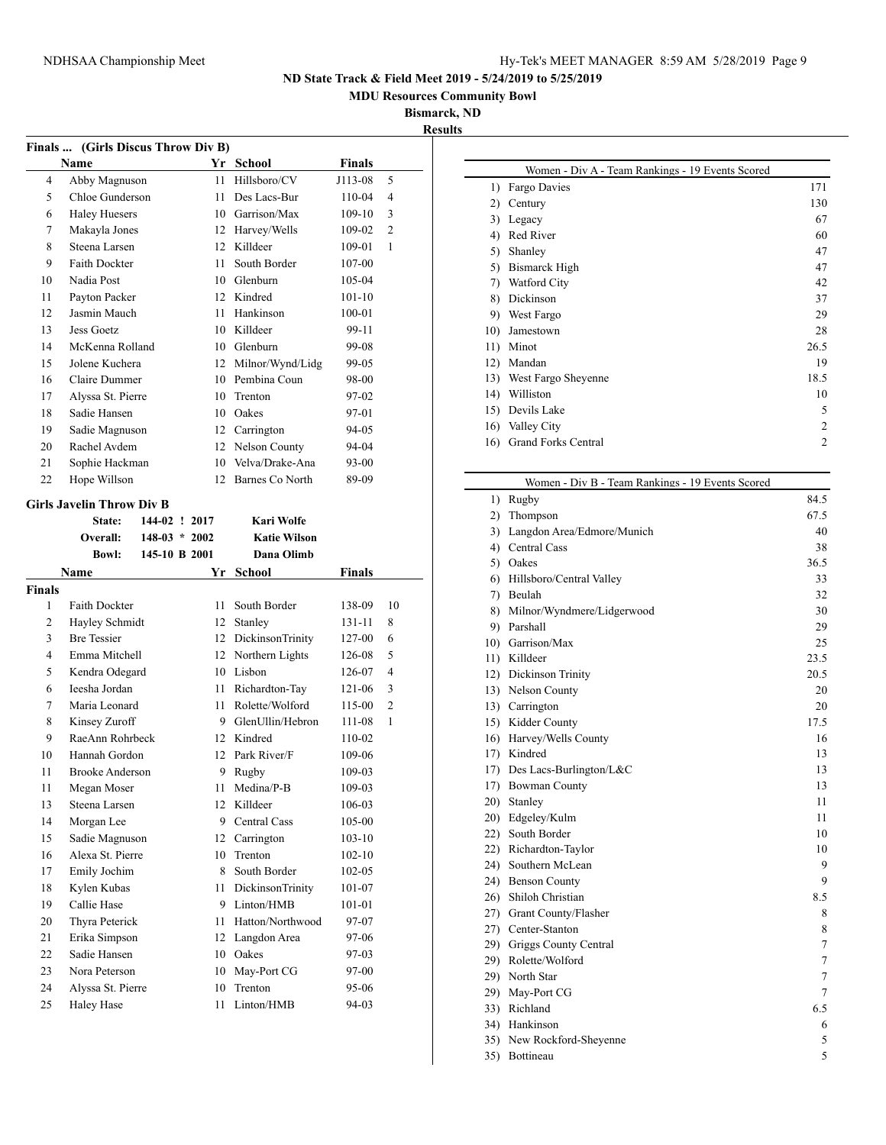**MDU Resources Community Bowl**

 $\overline{\phantom{0}}$ 

**Bismarck, ND**

**Results**

|               | (Girls Discus Throw Div B)<br><b>Finals</b> |                 |      |                     |               |                |  |  |
|---------------|---------------------------------------------|-----------------|------|---------------------|---------------|----------------|--|--|
|               | Name                                        |                 |      | Yr School           | <b>Finals</b> |                |  |  |
| 4             | Abby Magnuson                               |                 | 11   | Hillsboro/CV        | J113-08       | 5              |  |  |
| 5             | Chloe Gunderson                             |                 | 11   | Des Lacs-Bur        | 110-04        | 4              |  |  |
| 6             | <b>Haley Huesers</b>                        |                 |      | 10 Garrison/Max     | $109-10$      | 3              |  |  |
| 7             | Makayla Jones                               |                 |      | 12 Harvey/Wells     | 109-02        | $\overline{c}$ |  |  |
| 8             | Steena Larsen                               |                 |      | 12 Killdeer         | 109-01        | 1              |  |  |
| 9             | <b>Faith Dockter</b>                        |                 | 11   | South Border        | 107-00        |                |  |  |
| 10            | Nadia Post                                  |                 |      | 10 Glenburn         | 105-04        |                |  |  |
| 11            | Payton Packer                               |                 |      | 12 Kindred          | $101 - 10$    |                |  |  |
| 12            | Jasmin Mauch                                |                 |      | 11 Hankinson        | $100 - 01$    |                |  |  |
| 13            | <b>Jess Goetz</b>                           |                 |      | 10 Killdeer         | 99-11         |                |  |  |
| 14            | McKenna Rolland                             |                 |      | 10 Glenburn         | 99-08         |                |  |  |
| 15            | Jolene Kuchera                              |                 |      | 12 Milnor/Wynd/Lidg | 99-05         |                |  |  |
| 16            | Claire Dummer                               |                 |      | 10 Pembina Coun     | 98-00         |                |  |  |
| 17            | Alyssa St. Pierre                           |                 | 10   | Trenton             | 97-02         |                |  |  |
| 18            | Sadie Hansen                                |                 |      | 10 Oakes            | 97-01         |                |  |  |
| 19            | Sadie Magnuson                              |                 |      | 12 Carrington       | 94-05         |                |  |  |
| 20            | Rachel Avdem                                |                 |      | 12 Nelson County    | 94-04         |                |  |  |
| 21            | Sophie Hackman                              |                 |      | 10 Velva/Drake-Ana  | 93-00         |                |  |  |
| 22            | Hope Willson                                |                 | 12   | Barnes Co North     | 89-09         |                |  |  |
|               |                                             |                 |      |                     |               |                |  |  |
|               | <b>Girls Javelin Throw Div B</b>            |                 |      |                     |               |                |  |  |
|               | <b>State:</b>                               | 144-02 ! 2017   |      | Kari Wolfe          |               |                |  |  |
|               | Overall:                                    | $148-03 * 2002$ |      | <b>Katie Wilson</b> |               |                |  |  |
|               | Bowl:                                       | 145-10 B 2001   |      | Dana Olimb          |               |                |  |  |
| <b>Finals</b> | Name                                        |                 |      | Yr School           | <b>Finals</b> |                |  |  |
| 1             | <b>Faith Dockter</b>                        |                 | 11   | South Border        | 138-09        | 10             |  |  |
| 2             | Hayley Schmidt                              |                 | 12   | Stanley             | 131-11        | 8              |  |  |
| 3             | <b>Bre Tessier</b>                          |                 |      | 12 DickinsonTrinity | 127-00        | 6              |  |  |
| 4             | Emma Mitchell                               |                 |      | 12 Northern Lights  | 126-08        | 5              |  |  |
| 5             | Kendra Odegard                              |                 |      | 10 Lisbon           | 126-07        | 4              |  |  |
| 6             | Ieesha Jordan                               |                 | 11 - | Richardton-Tay      | 121-06        | 3              |  |  |
| 7             | Maria Leonard                               |                 |      | 11 Rolette/Wolford  | 115-00        | $\overline{2}$ |  |  |
| 8             | Kinsey Zuroff                               |                 |      | 9 GlenUllin/Hebron  | 111-08        | 1              |  |  |
| 9             | RaeAnn Rohrbeck                             |                 |      | 12 Kindred          | 110-02        |                |  |  |
| 10            | Hannah Gordon                               |                 |      | 12 Park River/F     | 109-06        |                |  |  |
| 11            | <b>Brooke Anderson</b>                      |                 | 9    | Rugby               | 109-03        |                |  |  |
| 11            | Megan Moser                                 |                 | 11   | Medina/P-B          | 109-03        |                |  |  |
| 13            | Steena Larsen                               |                 | 12   | Killdeer            | 106-03        |                |  |  |
| 14            | Morgan Lee                                  |                 | 9.   | Central Cass        | 105-00        |                |  |  |
| 15            | Sadie Magnuson                              |                 | 12   | Carrington          | $103 - 10$    |                |  |  |
| 16            | Alexa St. Pierre                            |                 | 10   | Trenton             | $102 - 10$    |                |  |  |
| 17            | Emily Jochim                                |                 | 8    | South Border        | $102 - 05$    |                |  |  |
| 18            | Kylen Kubas                                 |                 | 11   | DickinsonTrinity    | 101-07        |                |  |  |
| 19            | Callie Hase                                 |                 | 9.   | Linton/HMB          | 101-01        |                |  |  |
| 20            | Thyra Peterick                              |                 | 11   | Hatton/Northwood    | 97-07         |                |  |  |
| 21            | Erika Simpson                               |                 | 12   | Langdon Area        | 97-06         |                |  |  |
| 22            | Sadie Hansen                                |                 |      | 10 Oakes            | 97-03         |                |  |  |
| 23            | Nora Peterson                               |                 | 10   | May-Port CG         | 97-00         |                |  |  |
| 24            | Alyssa St. Pierre                           |                 | 10   | Trenton             | 95-06         |                |  |  |
| 25            | <b>Haley Hase</b>                           |                 | 11   | Linton/HMB          | 94-03         |                |  |  |
|               |                                             |                 |      |                     |               |                |  |  |

| Women - Div A - Team Rankings - 19 Events Scored |      |
|--------------------------------------------------|------|
| Fargo Davies                                     | 171  |
| Century                                          | 130  |
| Legacy                                           | 67   |
| Red River                                        | 60   |
| Shanley                                          | 47   |
| Bismarck High                                    | 47   |
| Watford City                                     | 42   |
| Dickinson                                        | 37   |
| West Fargo                                       | 29   |
| Jamestown                                        | 28   |
| Minot                                            | 26.5 |
| Mandan                                           | 19   |
| West Fargo Sheyenne                              | 18.5 |
| Williston                                        | 10   |
| Devils Lake                                      | 5    |
| Valley City                                      | 2    |
| <b>Grand Forks Central</b>                       | 2    |
|                                                  |      |

|     | Women - Div B - Team Rankings - 19 Events Scored |                |
|-----|--------------------------------------------------|----------------|
| 1)  | Rugby                                            | 84.5           |
| 2)  | Thompson                                         | 67.5           |
| 3)  | Langdon Area/Edmore/Munich                       | 40             |
|     | 4) Central Cass                                  | 38             |
|     | 5) Oakes                                         | 36.5           |
| 6)  | Hillsboro/Central Valley                         | 33             |
|     | 7) Beulah                                        | 32             |
| 8)  | Milnor/Wyndmere/Lidgerwood                       | 30             |
|     | 9) Parshall                                      | 29             |
|     | 10) Garrison/Max                                 | 25             |
|     | 11) Killdeer                                     | 23.5           |
|     | 12) Dickinson Trinity                            | 20.5           |
|     | 13) Nelson County                                | 20             |
|     | 13) Carrington                                   | 20             |
|     | 15) Kidder County                                | 17.5           |
|     | 16) Harvey/Wells County                          | 16             |
|     | 17) Kindred                                      | 13             |
|     | 17) Des Lacs-Burlington/L&C                      | 13             |
|     | 17) Bowman County                                | 13             |
|     | 20) Stanley                                      | 11             |
|     | 20) Edgeley/Kulm                                 | 11             |
|     | 22) South Border                                 | 10             |
|     | 22) Richardton-Taylor                            | 10             |
|     | 24) Southern McLean                              | 9              |
|     | 24) Benson County                                | 9              |
|     | 26) Shiloh Christian                             | 8.5            |
|     | 27) Grant County/Flasher                         | 8              |
|     | 27) Center-Stanton                               | 8              |
|     | 29) Griggs County Central                        | $\tau$         |
|     | 29) Rolette/Wolford                              | $\overline{7}$ |
|     | 29) North Star                                   | $\overline{7}$ |
|     | 29) May-Port CG                                  | 7              |
|     | 33) Richland                                     | 6.5            |
|     | 34) Hankinson                                    | 6              |
| 35) | New Rockford-Sheyenne                            | 5              |
| 35) | Bottineau                                        | 5              |